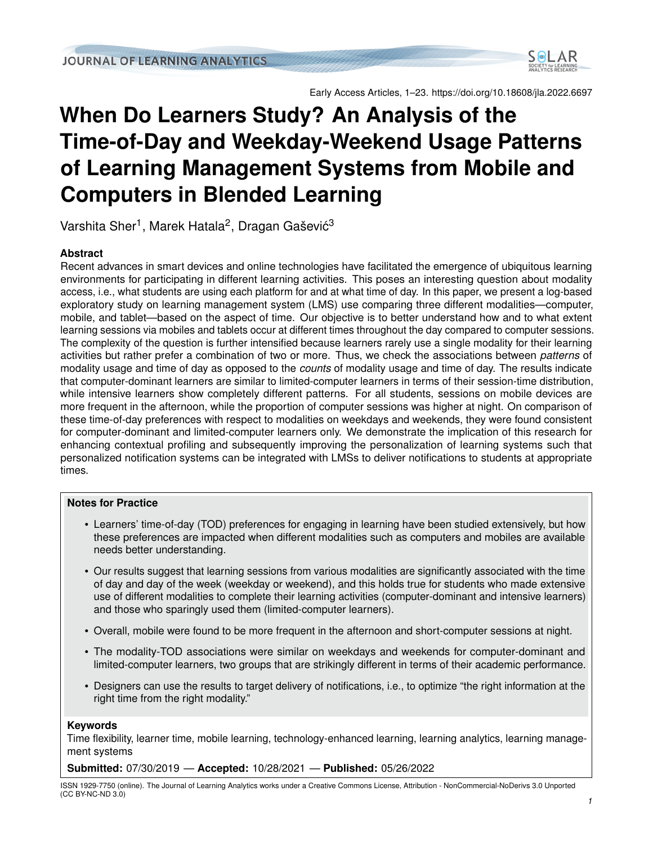

Early Access Articles, 1–23. https://doi.org/10.18608/jla.2022.6697

# **When Do Learners Study? An Analysis of the Time-of-Day and Weekday-Weekend Usage Patterns of Learning Management Systems from Mobile and Computers in Blended Learning**

Varshita Sher<sup>1</sup>, Marek Hatala<sup>2</sup>, Dragan Gašević<sup>3</sup>

## **Abstract**

Recent advances in smart devices and online technologies have facilitated the emergence of ubiquitous learning environments for participating in different learning activities. This poses an interesting question about modality access, i.e., what students are using each platform for and at what time of day. In this paper, we present a log-based exploratory study on learning management system (LMS) use comparing three different modalities—computer, mobile, and tablet—based on the aspect of time. Our objective is to better understand how and to what extent learning sessions via mobiles and tablets occur at different times throughout the day compared to computer sessions. The complexity of the question is further intensified because learners rarely use a single modality for their learning activities but rather prefer a combination of two or more. Thus, we check the associations between *patterns* of modality usage and time of day as opposed to the *counts* of modality usage and time of day. The results indicate that computer-dominant learners are similar to limited-computer learners in terms of their session-time distribution, while intensive learners show completely different patterns. For all students, sessions on mobile devices are more frequent in the afternoon, while the proportion of computer sessions was higher at night. On comparison of these time-of-day preferences with respect to modalities on weekdays and weekends, they were found consistent for computer-dominant and limited-computer learners only. We demonstrate the implication of this research for enhancing contextual profiling and subsequently improving the personalization of learning systems such that personalized notification systems can be integrated with LMSs to deliver notifications to students at appropriate times.

## **Notes for Practice**

- Learners' time-of-day (TOD) preferences for engaging in learning have been studied extensively, but how these preferences are impacted when different modalities such as computers and mobiles are available needs better understanding.
- Our results suggest that learning sessions from various modalities are significantly associated with the time of day and day of the week (weekday or weekend), and this holds true for students who made extensive use of different modalities to complete their learning activities (computer-dominant and intensive learners) and those who sparingly used them (limited-computer learners).
- Overall, mobile were found to be more frequent in the afternoon and short-computer sessions at night.
- The modality-TOD associations were similar on weekdays and weekends for computer-dominant and limited-computer learners, two groups that are strikingly different in terms of their academic performance.
- Designers can use the results to target delivery of notifications, i.e., to optimize "the right information at the right time from the right modality."

## **Keywords**

Time flexibility, learner time, mobile learning, technology-enhanced learning, learning analytics, learning management systems

**Submitted:** 07/30/2019 — **Accepted:** 10/28/2021 — **Published:** 05/26/2022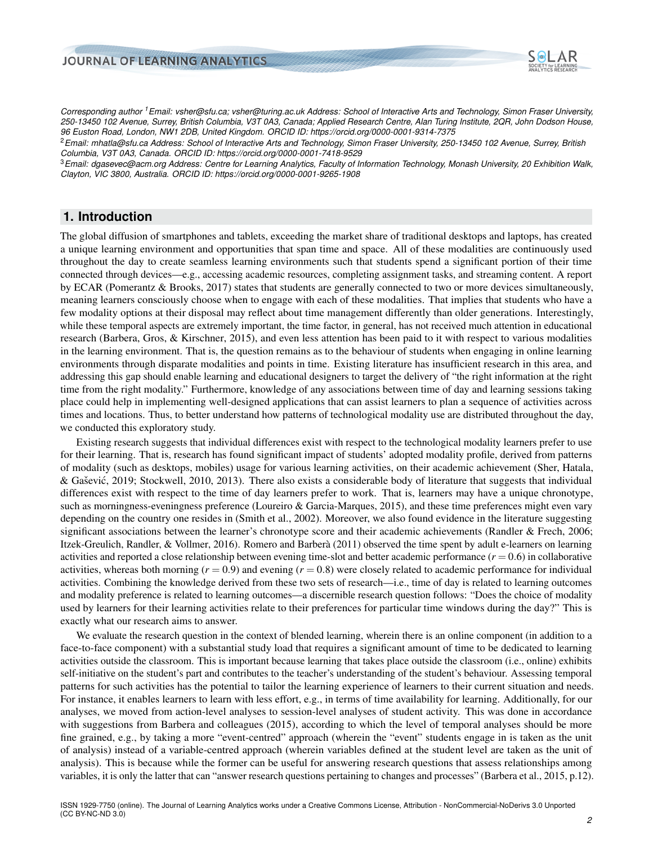

*Corresponding author <sup>1</sup>Email: vsher@sfu.ca; vsher@turing.ac.uk Address: School of Interactive Arts and Technology, Simon Fraser University, 250-13450 102 Avenue, Surrey, British Columbia, V3T 0A3, Canada; Applied Research Centre, Alan Turing Institute, 2QR, John Dodson House, 96 Euston Road, London, NW1 2DB, United Kingdom. ORCID ID: https://orcid.org/0000-0001-9314-7375*

<sup>2</sup>*Email: mhatla@sfu.ca Address: School of Interactive Arts and Technology, Simon Fraser University, 250-13450 102 Avenue, Surrey, British Columbia, V3T 0A3, Canada. ORCID ID: https://orcid.org/0000-0001-7418-9529*

<sup>3</sup>*Email: dgasevec@acm.org Address: Centre for Learning Analytics, Faculty of Information Technology, Monash University, 20 Exhibition Walk, Clayton, VIC 3800, Australia. ORCID ID: https://orcid.org/0000-0001-9265-1908*

# **1. Introduction**

The global diffusion of smartphones and tablets, exceeding the market share of traditional desktops and laptops, has created a unique learning environment and opportunities that span time and space. All of these modalities are continuously used throughout the day to create seamless learning environments such that students spend a significant portion of their time connected through devices—e.g., accessing academic resources, completing assignment tasks, and streaming content. A report by ECAR [\(Pomerantz & Brooks,](#page-21-0) [2017\)](#page-21-0) states that students are generally connected to two or more devices simultaneously, meaning learners consciously choose when to engage with each of these modalities. That implies that students who have a few modality options at their disposal may reflect about time management differently than older generations. Interestingly, while these temporal aspects are extremely important, the time factor, in general, has not received much attention in educational research [\(Barbera, Gros, & Kirschner,](#page-19-0) [2015\)](#page-19-0), and even less attention has been paid to it with respect to various modalities in the learning environment. That is, the question remains as to the behaviour of students when engaging in online learning environments through disparate modalities and points in time. Existing literature has insufficient research in this area, and addressing this gap should enable learning and educational designers to target the delivery of "the right information at the right time from the right modality." Furthermore, knowledge of any associations between time of day and learning sessions taking place could help in implementing well-designed applications that can assist learners to plan a sequence of activities across times and locations. Thus, to better understand how patterns of technological modality use are distributed throughout the day, we conducted this exploratory study.

Existing research suggests that individual differences exist with respect to the technological modality learners prefer to use for their learning. That is, research has found significant impact of students' adopted modality profile, derived from patterns of modality (such as desktops, mobiles) usage for various learning activities, on their academic achievement [\(Sher, Hatala,](#page-22-0) & Gašević, [2019;](#page-22-0) [Stockwell,](#page-22-1) [2010,](#page-22-1) [2013\)](#page-22-2). There also exists a considerable body of literature that suggests that individual differences exist with respect to the time of day learners prefer to work. That is, learners may have a unique chronotype, such as morningness-eveningness preference [\(Loureiro & Garcia-Marques,](#page-21-1) [2015\)](#page-21-1), and these time preferences might even vary depending on the country one resides in [\(Smith et al.,](#page-22-3) [2002\)](#page-22-3). Moreover, we also found evidence in the literature suggesting significant associations between the learner's chronotype score and their academic achievements [\(Randler & Frech,](#page-21-2) [2006;](#page-21-2) [Itzek-Greulich, Randler, & Vollmer,](#page-20-0) [2016\)](#page-20-0). [Romero and Barbera`](#page-21-3) [\(2011\)](#page-21-3) observed the time spent by adult e-learners on learning activities and reported a close relationship between evening time-slot and better academic performance  $(r = 0.6)$  in collaborative activities, whereas both morning  $(r = 0.9)$  and evening  $(r = 0.8)$  were closely related to academic performance for individual activities. Combining the knowledge derived from these two sets of research—i.e., time of day is related to learning outcomes and modality preference is related to learning outcomes—a discernible research question follows: "Does the choice of modality used by learners for their learning activities relate to their preferences for particular time windows during the day?" This is exactly what our research aims to answer.

We evaluate the research question in the context of blended learning, wherein there is an online component (in addition to a face-to-face component) with a substantial study load that requires a significant amount of time to be dedicated to learning activities outside the classroom. This is important because learning that takes place outside the classroom (i.e., online) exhibits self-initiative on the student's part and contributes to the teacher's understanding of the student's behaviour. Assessing temporal patterns for such activities has the potential to tailor the learning experience of learners to their current situation and needs. For instance, it enables learners to learn with less effort, e.g., in terms of time availability for learning. Additionally, for our analyses, we moved from action-level analyses to session-level analyses of student activity. This was done in accordance with suggestions from Barbera and colleagues [\(2015\)](#page-19-0), according to which the level of temporal analyses should be more fine grained, e.g., by taking a more "event-centred" approach (wherein the "event" students engage in is taken as the unit of analysis) instead of a variable-centred approach (wherein variables defined at the student level are taken as the unit of analysis). This is because while the former can be useful for answering research questions that assess relationships among variables, it is only the latter that can "answer research questions pertaining to changes and processes" [\(Barbera et al.,](#page-19-0) [2015,](#page-19-0) p.12).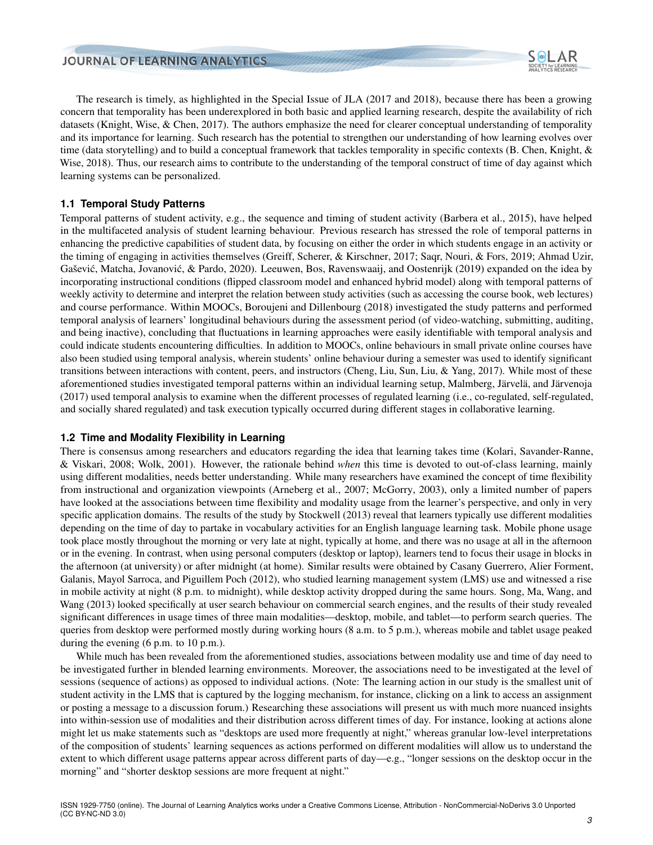

The research is timely, as highlighted in the Special Issue of JLA (2017 and 2018), because there has been a growing concern that temporality has been underexplored in both basic and applied learning research, despite the availability of rich datasets [\(Knight, Wise, & Chen,](#page-20-1) [2017\)](#page-20-1). The authors emphasize the need for clearer conceptual understanding of temporality and its importance for learning. Such research has the potential to strengthen our understanding of how learning evolves over time (data storytelling) and to build a conceptual framework that tackles temporality in specific contexts [\(B. Chen, Knight, &](#page-20-2) [Wise,](#page-20-2) [2018\)](#page-20-2). Thus, our research aims to contribute to the understanding of the temporal construct of time of day against which learning systems can be personalized.

## **1.1 Temporal Study Patterns**

Temporal patterns of student activity, e.g., the sequence and timing of student activity [\(Barbera et al.,](#page-19-0) [2015\)](#page-19-0), have helped in the multifaceted analysis of student learning behaviour. Previous research has stressed the role of temporal patterns in enhancing the predictive capabilities of student data, by focusing on either the order in which students engage in an activity or the timing of engaging in activities themselves [\(Greiff, Scherer, & Kirschner,](#page-20-3) [2017;](#page-20-3) [Saqr, Nouri, & Fors,](#page-21-4) [2019;](#page-21-4) [Ahmad Uzir,](#page-19-1) Gašević, Matcha, Jovanović, & Pardo, [2020\)](#page-19-1). [Leeuwen, Bos, Ravenswaaij, and Oostenrijk](#page-21-5) [\(2019\)](#page-21-5) expanded on the idea by incorporating instructional conditions (flipped classroom model and enhanced hybrid model) along with temporal patterns of weekly activity to determine and interpret the relation between study activities (such as accessing the course book, web lectures) and course performance. Within MOOCs, [Boroujeni and Dillenbourg](#page-19-2) [\(2018\)](#page-19-2) investigated the study patterns and performed temporal analysis of learners' longitudinal behaviours during the assessment period (of video-watching, submitting, auditing, and being inactive), concluding that fluctuations in learning approaches were easily identifiable with temporal analysis and could indicate students encountering difficulties. In addition to MOOCs, online behaviours in small private online courses have also been studied using temporal analysis, wherein students' online behaviour during a semester was used to identify significant transitions between interactions with content, peers, and instructors [\(Cheng, Liu, Sun, Liu, & Yang,](#page-20-4) [2017\)](#page-20-4). While most of these aforementioned studies investigated temporal patterns within an individual learning setup, Malmberg, Järvelä, and Järvenoja [\(2017\)](#page-21-6) used temporal analysis to examine when the different processes of regulated learning (i.e., co-regulated, self-regulated, and socially shared regulated) and task execution typically occurred during different stages in collaborative learning.

#### **1.2 Time and Modality Flexibility in Learning**

There is consensus among researchers and educators regarding the idea that learning takes time [\(Kolari, Savander-Ranne,](#page-20-5) [& Viskari,](#page-20-5) [2008;](#page-20-5) [Wolk,](#page-22-4) [2001\)](#page-22-4). However, the rationale behind *when* this time is devoted to out-of-class learning, mainly using different modalities, needs better understanding. While many researchers have examined the concept of time flexibility from instructional and organization viewpoints [\(Arneberg et al.,](#page-19-3) [2007;](#page-19-3) [McGorry,](#page-21-7) [2003\)](#page-21-7), only a limited number of papers have looked at the associations between time flexibility and modality usage from the learner's perspective, and only in very specific application domains. The results of the study by [Stockwell](#page-22-2) [\(2013\)](#page-22-2) reveal that learners typically use different modalities depending on the time of day to partake in vocabulary activities for an English language learning task. Mobile phone usage took place mostly throughout the morning or very late at night, typically at home, and there was no usage at all in the afternoon or in the evening. In contrast, when using personal computers (desktop or laptop), learners tend to focus their usage in blocks in the afternoon (at university) or after midnight (at home). Similar results were obtained by [Casany Guerrero, Alier Forment,](#page-20-6) [Galanis, Mayol Sarroca, and Piguillem Poch](#page-20-6) [\(2012\)](#page-20-6), who studied learning management system (LMS) use and witnessed a rise in mobile activity at night (8 p.m. to midnight), while desktop activity dropped during the same hours. [Song, Ma, Wang, and](#page-22-5) [Wang](#page-22-5) [\(2013\)](#page-22-5) looked specifically at user search behaviour on commercial search engines, and the results of their study revealed significant differences in usage times of three main modalities—desktop, mobile, and tablet—to perform search queries. The queries from desktop were performed mostly during working hours (8 a.m. to 5 p.m.), whereas mobile and tablet usage peaked during the evening (6 p.m. to 10 p.m.).

While much has been revealed from the aforementioned studies, associations between modality use and time of day need to be investigated further in blended learning environments. Moreover, the associations need to be investigated at the level of sessions (sequence of actions) as opposed to individual actions. (Note: The learning action in our study is the smallest unit of student activity in the LMS that is captured by the logging mechanism, for instance, clicking on a link to access an assignment or posting a message to a discussion forum.) Researching these associations will present us with much more nuanced insights into within-session use of modalities and their distribution across different times of day. For instance, looking at actions alone might let us make statements such as "desktops are used more frequently at night," whereas granular low-level interpretations of the composition of students' learning sequences as actions performed on different modalities will allow us to understand the extent to which different usage patterns appear across different parts of day—e.g., "longer sessions on the desktop occur in the morning" and "shorter desktop sessions are more frequent at night."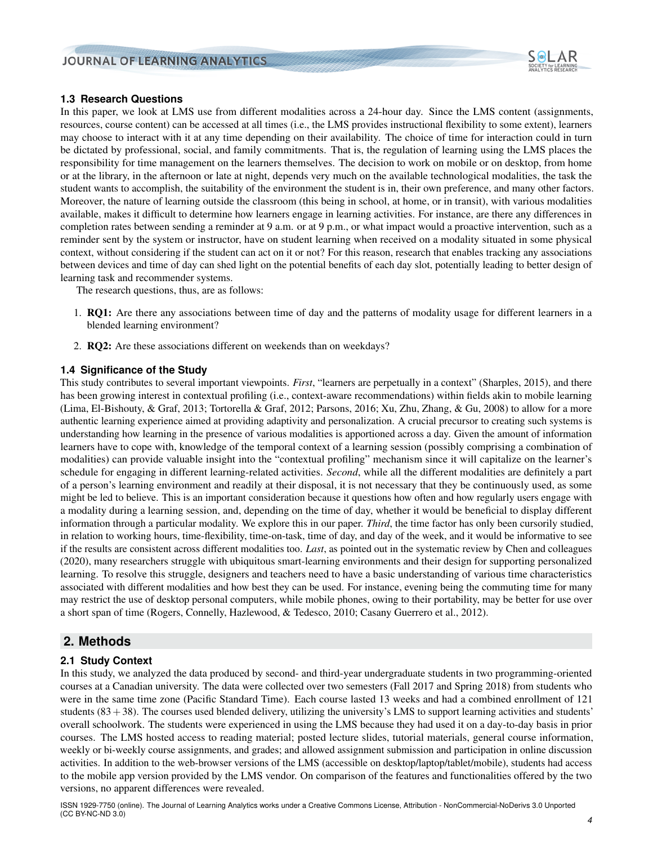

## **1.3 Research Questions**

In this paper, we look at LMS use from different modalities across a 24-hour day. Since the LMS content (assignments, resources, course content) can be accessed at all times (i.e., the LMS provides instructional flexibility to some extent), learners may choose to interact with it at any time depending on their availability. The choice of time for interaction could in turn be dictated by professional, social, and family commitments. That is, the regulation of learning using the LMS places the responsibility for time management on the learners themselves. The decision to work on mobile or on desktop, from home or at the library, in the afternoon or late at night, depends very much on the available technological modalities, the task the student wants to accomplish, the suitability of the environment the student is in, their own preference, and many other factors. Moreover, the nature of learning outside the classroom (this being in school, at home, or in transit), with various modalities available, makes it difficult to determine how learners engage in learning activities. For instance, are there any differences in completion rates between sending a reminder at 9 a.m. or at 9 p.m., or what impact would a proactive intervention, such as a reminder sent by the system or instructor, have on student learning when received on a modality situated in some physical context, without considering if the student can act on it or not? For this reason, research that enables tracking any associations between devices and time of day can shed light on the potential benefits of each day slot, potentially leading to better design of learning task and recommender systems.

The research questions, thus, are as follows:

- 1. RQ1: Are there any associations between time of day and the patterns of modality usage for different learners in a blended learning environment?
- 2. RQ2: Are these associations different on weekends than on weekdays?

#### **1.4 Significance of the Study**

This study contributes to several important viewpoints. *First*, "learners are perpetually in a context" [\(Sharples,](#page-21-8) [2015\)](#page-21-8), and there has been growing interest in contextual profiling (i.e., context-aware recommendations) within fields akin to mobile learning [\(Lima, El-Bishouty, & Graf,](#page-21-9) [2013;](#page-21-9) [Tortorella & Graf,](#page-22-6) [2012;](#page-22-6) [Parsons,](#page-21-10) [2016;](#page-21-10) [Xu, Zhu, Zhang, & Gu,](#page-22-7) [2008\)](#page-22-7) to allow for a more authentic learning experience aimed at providing adaptivity and personalization. A crucial precursor to creating such systems is understanding how learning in the presence of various modalities is apportioned across a day. Given the amount of information learners have to cope with, knowledge of the temporal context of a learning session (possibly comprising a combination of modalities) can provide valuable insight into the "contextual profiling" mechanism since it will capitalize on the learner's schedule for engaging in different learning-related activities. *Second*, while all the different modalities are definitely a part of a person's learning environment and readily at their disposal, it is not necessary that they be continuously used, as some might be led to believe. This is an important consideration because it questions how often and how regularly users engage with a modality during a learning session, and, depending on the time of day, whether it would be beneficial to display different information through a particular modality. We explore this in our paper. *Third*, the time factor has only been cursorily studied, in relation to working hours, time-flexibility, time-on-task, time of day, and day of the week, and it would be informative to see if the results are consistent across different modalities too. *Last*, as pointed out in the systematic review by Chen and colleagues [\(2020\)](#page-20-7), many researchers struggle with ubiquitous smart-learning environments and their design for supporting personalized learning. To resolve this struggle, designers and teachers need to have a basic understanding of various time characteristics associated with different modalities and how best they can be used. For instance, evening being the commuting time for many may restrict the use of desktop personal computers, while mobile phones, owing to their portability, may be better for use over a short span of time [\(Rogers, Connelly, Hazlewood, & Tedesco,](#page-21-11) [2010;](#page-21-11) [Casany Guerrero et al.,](#page-20-6) [2012\)](#page-20-6).

## **2. Methods**

## <span id="page-3-0"></span>**2.1 Study Context**

In this study, we analyzed the data produced by second- and third-year undergraduate students in two programming-oriented courses at a Canadian university. The data were collected over two semesters (Fall 2017 and Spring 2018) from students who were in the same time zone (Pacific Standard Time). Each course lasted 13 weeks and had a combined enrollment of 121 students  $(83+38)$ . The courses used blended delivery, utilizing the university's LMS to support learning activities and students' overall schoolwork. The students were experienced in using the LMS because they had used it on a day-to-day basis in prior courses. The LMS hosted access to reading material; posted lecture slides, tutorial materials, general course information, weekly or bi-weekly course assignments, and grades; and allowed assignment submission and participation in online discussion activities. In addition to the web-browser versions of the LMS (accessible on desktop/laptop/tablet/mobile), students had access to the mobile app version provided by the LMS vendor. On comparison of the features and functionalities offered by the two versions, no apparent differences were revealed.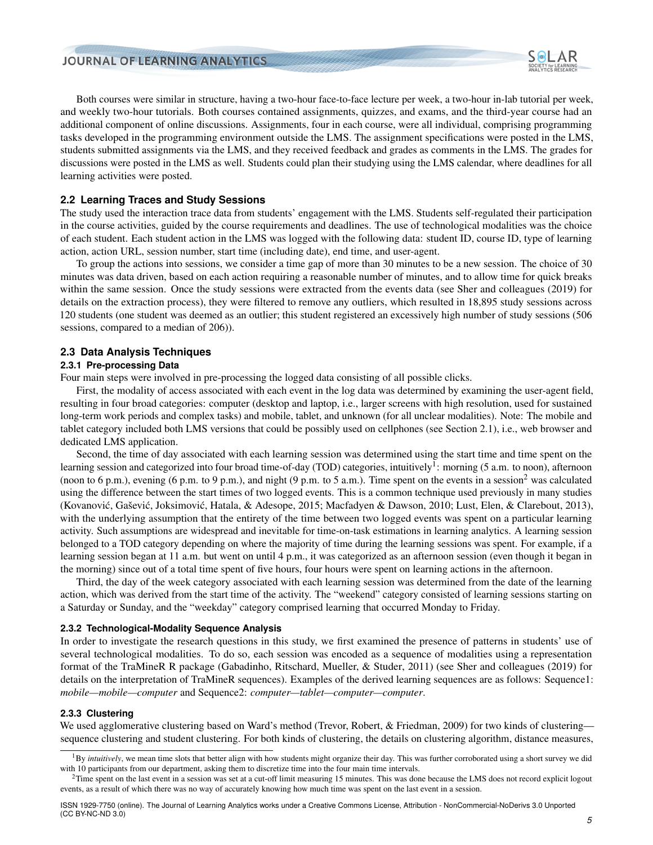

Both courses were similar in structure, having a two-hour face-to-face lecture per week, a two-hour in-lab tutorial per week, and weekly two-hour tutorials. Both courses contained assignments, quizzes, and exams, and the third-year course had an additional component of online discussions. Assignments, four in each course, were all individual, comprising programming tasks developed in the programming environment outside the LMS. The assignment specifications were posted in the LMS, students submitted assignments via the LMS, and they received feedback and grades as comments in the LMS. The grades for discussions were posted in the LMS as well. Students could plan their studying using the LMS calendar, where deadlines for all learning activities were posted.

#### **2.2 Learning Traces and Study Sessions**

The study used the interaction trace data from students' engagement with the LMS. Students self-regulated their participation in the course activities, guided by the course requirements and deadlines. The use of technological modalities was the choice of each student. Each student action in the LMS was logged with the following data: student ID, course ID, type of learning action, action URL, session number, start time (including date), end time, and user-agent.

To group the actions into sessions, we consider a time gap of more than 30 minutes to be a new session. The choice of 30 minutes was data driven, based on each action requiring a reasonable number of minutes, and to allow time for quick breaks within the same session. Once the study sessions were extracted from the events data (see Sher and colleagues [\(2019\)](#page-22-0) for details on the extraction process), they were filtered to remove any outliers, which resulted in 18,895 study sessions across 120 students (one student was deemed as an outlier; this student registered an excessively high number of study sessions (506 sessions, compared to a median of 206)).

#### **2.3 Data Analysis Techniques**

#### **2.3.1 Pre-processing Data**

Four main steps were involved in pre-processing the logged data consisting of all possible clicks.

First, the modality of access associated with each event in the log data was determined by examining the user-agent field, resulting in four broad categories: computer (desktop and laptop, i.e., larger screens with high resolution, used for sustained long-term work periods and complex tasks) and mobile, tablet, and unknown (for all unclear modalities). Note: The mobile and tablet category included both LMS versions that could be possibly used on cellphones (see Section [2.1\)](#page-3-0), i.e., web browser and dedicated LMS application.

Second, the time of day associated with each learning session was determined using the start time and time spent on the learning session and categorized into four broad time-of-day (TOD) categories, intuitively<sup>[1](#page-4-0)</sup>: morning (5 a.m. to noon), afternoon (noon to 6 p.m.), evening (6 p.m. to 9 p.m.), and night (9 p.m. to 5 a.m.). Time spent on the events in a session<sup>[2](#page-4-1)</sup> was calculated using the difference between the start times of two logged events. This is a common technique used previously in many studies (Kovanović, Gašević, Joksimović, Hatala, & Adesope, [2015;](#page-20-8) [Macfadyen & Dawson,](#page-21-12) [2010;](#page-21-12) [Lust, Elen, & Clarebout,](#page-21-13) [2013\)](#page-21-13), with the underlying assumption that the entirety of the time between two logged events was spent on a particular learning activity. Such assumptions are widespread and inevitable for time-on-task estimations in learning analytics. A learning session belonged to a TOD category depending on where the majority of time during the learning sessions was spent. For example, if a learning session began at 11 a.m. but went on until 4 p.m., it was categorized as an afternoon session (even though it began in the morning) since out of a total time spent of five hours, four hours were spent on learning actions in the afternoon.

Third, the day of the week category associated with each learning session was determined from the date of the learning action, which was derived from the start time of the activity. The "weekend" category consisted of learning sessions starting on a Saturday or Sunday, and the "weekday" category comprised learning that occurred Monday to Friday.

#### <span id="page-4-2"></span>**2.3.2 Technological-Modality Sequence Analysis**

In order to investigate the research questions in this study, we first examined the presence of patterns in students' use of several technological modalities. To do so, each session was encoded as a sequence of modalities using a representation format of the TraMineR R package [\(Gabadinho, Ritschard, Mueller, & Studer,](#page-20-9) [2011\)](#page-20-9) (see Sher and colleagues [\(2019\)](#page-22-0) for details on the interpretation of TraMineR sequences). Examples of the derived learning sequences are as follows: Sequence1: *mobile—mobile—computer* and Sequence2: *computer—tablet—computer—computer*.

#### **2.3.3 Clustering**

We used agglomerative clustering based on Ward's method [\(Trevor, Robert, & Friedman,](#page-22-8) [2009\)](#page-22-8) for two kinds of clustering sequence clustering and student clustering. For both kinds of clustering, the details on clustering algorithm, distance measures,

<span id="page-4-0"></span><sup>&</sup>lt;sup>1</sup>By *intuitively*, we mean time slots that better align with how students might organize their day. This was further corroborated using a short survey we did with 10 participants from our department, asking them to discretize time into the four main time intervals.

<span id="page-4-1"></span><sup>&</sup>lt;sup>2</sup>Time spent on the last event in a session was set at a cut-off limit measuring 15 minutes. This was done because the LMS does not record explicit logout events, as a result of which there was no way of accurately knowing how much time was spent on the last event in a session.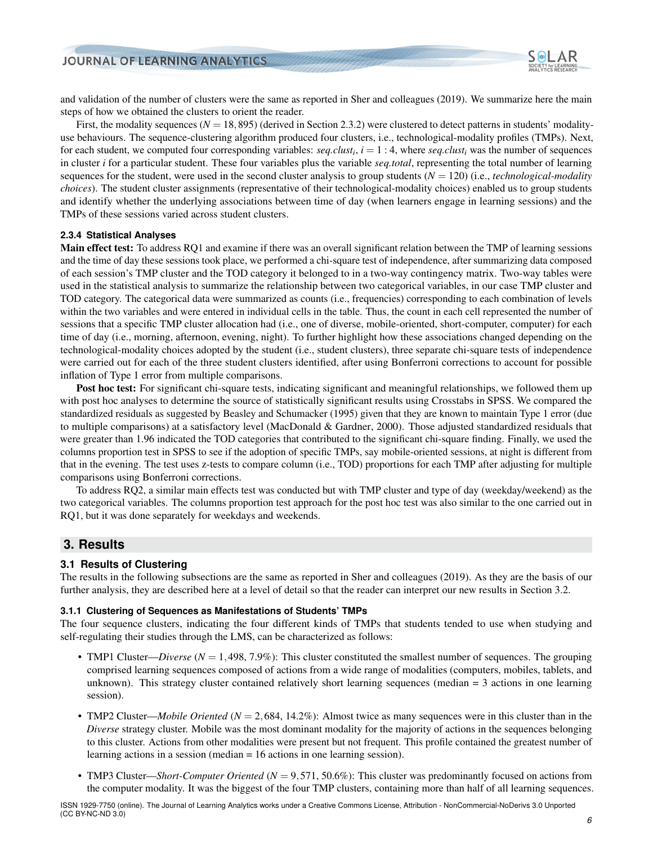

and validation of the number of clusters were the same as reported in Sher and colleagues [\(2019\)](#page-22-0). We summarize here the main steps of how we obtained the clusters to orient the reader.

First, the modality sequences  $(N = 18,895)$  (derived in Section [2.3.2\)](#page-4-2) were clustered to detect patterns in students' modalityuse behaviours. The sequence-clustering algorithm produced four clusters, i.e., technological-modality profiles (TMPs). Next, for each student, we computed four corresponding variables: *seq.clust<sup>i</sup>* , *i* = 1 : 4, where *seq.clust<sup>i</sup>* was the number of sequences in cluster *i* for a particular student. These four variables plus the variable *seq.total*, representing the total number of learning sequences for the student, were used in the second cluster analysis to group students (*N* = 120) (i.e., *technological-modality choices*). The student cluster assignments (representative of their technological-modality choices) enabled us to group students and identify whether the underlying associations between time of day (when learners engage in learning sessions) and the TMPs of these sessions varied across student clusters.

#### **2.3.4 Statistical Analyses**

Main effect test: To address RQ1 and examine if there was an overall significant relation between the TMP of learning sessions and the time of day these sessions took place, we performed a chi-square test of independence, after summarizing data composed of each session's TMP cluster and the TOD category it belonged to in a two-way contingency matrix. Two-way tables were used in the statistical analysis to summarize the relationship between two categorical variables, in our case TMP cluster and TOD category. The categorical data were summarized as counts (i.e., frequencies) corresponding to each combination of levels within the two variables and were entered in individual cells in the table. Thus, the count in each cell represented the number of sessions that a specific TMP cluster allocation had (i.e., one of diverse, mobile-oriented, short-computer, computer) for each time of day (i.e., morning, afternoon, evening, night). To further highlight how these associations changed depending on the technological-modality choices adopted by the student (i.e., student clusters), three separate chi-square tests of independence were carried out for each of the three student clusters identified, after using Bonferroni corrections to account for possible inflation of Type 1 error from multiple comparisons.

Post hoc test: For significant chi-square tests, indicating significant and meaningful relationships, we followed them up with post hoc analyses to determine the source of statistically significant results using Crosstabs in SPSS. We compared the standardized residuals as suggested by [Beasley and Schumacker](#page-19-4) [\(1995\)](#page-19-4) given that they are known to maintain Type 1 error (due to multiple comparisons) at a satisfactory level [\(MacDonald & Gardner,](#page-21-14) [2000\)](#page-21-14). Those adjusted standardized residuals that were greater than 1.96 indicated the TOD categories that contributed to the significant chi-square finding. Finally, we used the columns proportion test in SPSS to see if the adoption of specific TMPs, say mobile-oriented sessions, at night is different from that in the evening. The test uses z-tests to compare column (i.e., TOD) proportions for each TMP after adjusting for multiple comparisons using Bonferroni corrections.

To address RQ2, a similar main effects test was conducted but with TMP cluster and type of day (weekday/weekend) as the two categorical variables. The columns proportion test approach for the post hoc test was also similar to the one carried out in RQ1, but it was done separately for weekdays and weekends.

## **3. Results**

#### **3.1 Results of Clustering**

The results in the following subsections are the same as reported in Sher and colleagues [\(2019\)](#page-22-0). As they are the basis of our further analysis, they are described here at a level of detail so that the reader can interpret our new results in Section [3.2.](#page-6-0)

#### **3.1.1 Clustering of Sequences as Manifestations of Students' TMPs**

The four sequence clusters, indicating the four different kinds of TMPs that students tended to use when studying and self-regulating their studies through the LMS, can be characterized as follows:

- TMP1 Cluster—*Diverse* ( $N = 1,498, 7.9\%$ ): This cluster constituted the smallest number of sequences. The grouping comprised learning sequences composed of actions from a wide range of modalities (computers, mobiles, tablets, and unknown). This strategy cluster contained relatively short learning sequences (median = 3 actions in one learning session).
- TMP2 Cluster—*Mobile Oriented* (*N* = 2,684, 14.2%): Almost twice as many sequences were in this cluster than in the *Diverse* strategy cluster. Mobile was the most dominant modality for the majority of actions in the sequences belonging to this cluster. Actions from other modalities were present but not frequent. This profile contained the greatest number of learning actions in a session (median = 16 actions in one learning session).
- TMP3 Cluster—*Short-Computer Oriented* (*N* = 9,571, 50.6%): This cluster was predominantly focused on actions from the computer modality. It was the biggest of the four TMP clusters, containing more than half of all learning sequences.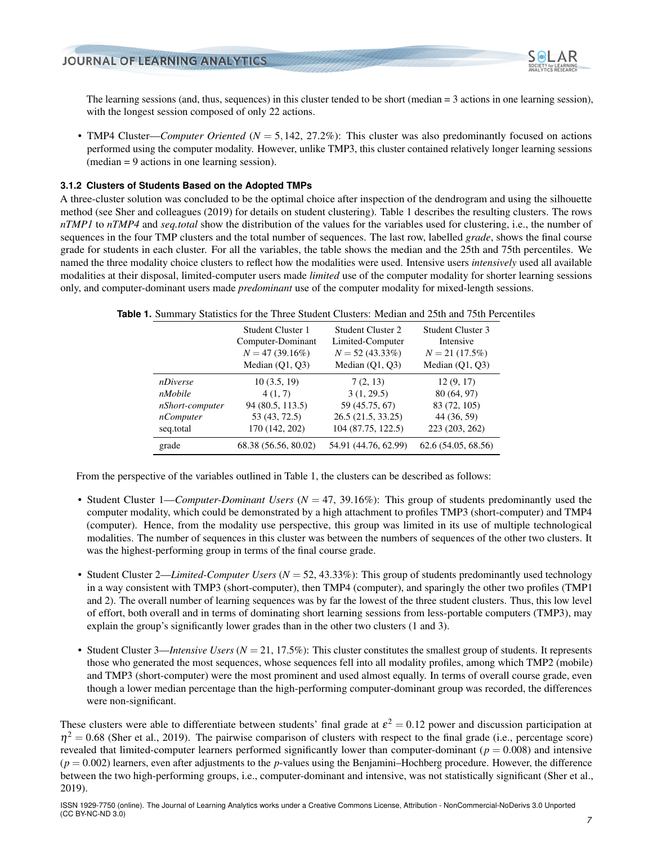

The learning sessions (and, thus, sequences) in this cluster tended to be short (median = 3 actions in one learning session), with the longest session composed of only 22 actions.

• TMP4 Cluster—*Computer Oriented* (*N* = 5,142, 27.2%): This cluster was also predominantly focused on actions performed using the computer modality. However, unlike TMP3, this cluster contained relatively longer learning sessions (median = 9 actions in one learning session).

#### <span id="page-6-2"></span>**3.1.2 Clusters of Students Based on the Adopted TMPs**

A three-cluster solution was concluded to be the optimal choice after inspection of the dendrogram and using the silhouette method (see Sher and colleagues [\(2019\)](#page-22-0) for details on student clustering). Table [1](#page-6-1) describes the resulting clusters. The rows *nTMP1* to *nTMP4* and *seq.total* show the distribution of the values for the variables used for clustering, i.e., the number of sequences in the four TMP clusters and the total number of sequences. The last row, labelled *grade*, shows the final course grade for students in each cluster. For all the variables, the table shows the median and the 25th and 75th percentiles. We named the three modality choice clusters to reflect how the modalities were used. Intensive users *intensively* used all available modalities at their disposal, limited-computer users made *limited* use of the computer modality for shorter learning sessions only, and computer-dominant users made *predominant* use of the computer modality for mixed-length sessions.

<span id="page-6-1"></span>

|  |  |  |  | <b>Table 1.</b> Summary Statistics for the Three Student Clusters: Median and 25th and 75th Percentiles |  |  |
|--|--|--|--|---------------------------------------------------------------------------------------------------------|--|--|
|--|--|--|--|---------------------------------------------------------------------------------------------------------|--|--|

|                  | Student Cluster 1<br>Computer-Dominant<br>$N = 47(39.16\%)$<br>Median $(Q1, Q3)$ | Student Cluster 2<br>Limited-Computer<br>$N = 52(43.33\%)$<br>Median $(Q1, Q3)$ | Student Cluster 3<br>Intensive<br>$N = 21$ (17.5%)<br>Median $(Q1, Q3)$ |
|------------------|----------------------------------------------------------------------------------|---------------------------------------------------------------------------------|-------------------------------------------------------------------------|
| nDiverse         | 10(3.5, 19)                                                                      | 7(2, 13)                                                                        | 12(9, 17)                                                               |
| nMobile          | 4(1, 7)                                                                          | 3(1, 29.5)                                                                      | 80 (64, 97)                                                             |
| nShort-computer  | 94 (80.5, 113.5)                                                                 | 59 (45.75, 67)                                                                  | 83 (72, 105)                                                            |
| <i>nComputer</i> | 53 (43, 72.5)                                                                    | 26.5 (21.5, 33.25)                                                              | 44 (36, 59)                                                             |
| seq.total        | 170 (142, 202)                                                                   | 104 (87.75, 122.5)                                                              | 223 (203, 262)                                                          |
| grade            | 68.38 (56.56, 80.02)                                                             | 54.91 (44.76, 62.99)                                                            | 62.6(54.05, 68.56)                                                      |

From the perspective of the variables outlined in Table [1,](#page-6-1) the clusters can be described as follows:

- Student Cluster 1—*Computer-Dominant Users* (*N* = 47, 39.16%): This group of students predominantly used the computer modality, which could be demonstrated by a high attachment to profiles TMP3 (short-computer) and TMP4 (computer). Hence, from the modality use perspective, this group was limited in its use of multiple technological modalities. The number of sequences in this cluster was between the numbers of sequences of the other two clusters. It was the highest-performing group in terms of the final course grade.
- Student Cluster 2—*Limited-Computer Users* (*N* = 52, 43.33%): This group of students predominantly used technology in a way consistent with TMP3 (short-computer), then TMP4 (computer), and sparingly the other two profiles (TMP1 and 2). The overall number of learning sequences was by far the lowest of the three student clusters. Thus, this low level of effort, both overall and in terms of dominating short learning sessions from less-portable computers (TMP3), may explain the group's significantly lower grades than in the other two clusters (1 and 3).
- Student Cluster 3—*Intensive Users* ( $N = 21, 17.5\%$ ): This cluster constitutes the smallest group of students. It represents those who generated the most sequences, whose sequences fell into all modality profiles, among which TMP2 (mobile) and TMP3 (short-computer) were the most prominent and used almost equally. In terms of overall course grade, even though a lower median percentage than the high-performing computer-dominant group was recorded, the differences were non-significant.

<span id="page-6-0"></span>These clusters were able to differentiate between students' final grade at  $\varepsilon^2 = 0.12$  power and discussion participation at  $\eta^2 = 0.68$  [\(Sher et al.,](#page-22-0) [2019\)](#page-22-0). The pairwise comparison of clusters with respect to the final grade (i.e., percentage score) revealed that limited-computer learners performed significantly lower than computer-dominant ( $p = 0.008$ ) and intensive  $(p = 0.002)$  learners, even after adjustments to the *p*-values using the Benjamini–Hochberg procedure. However, the difference between the two high-performing groups, i.e., computer-dominant and intensive, was not statistically significant [\(Sher et al.,](#page-22-0) [2019\)](#page-22-0).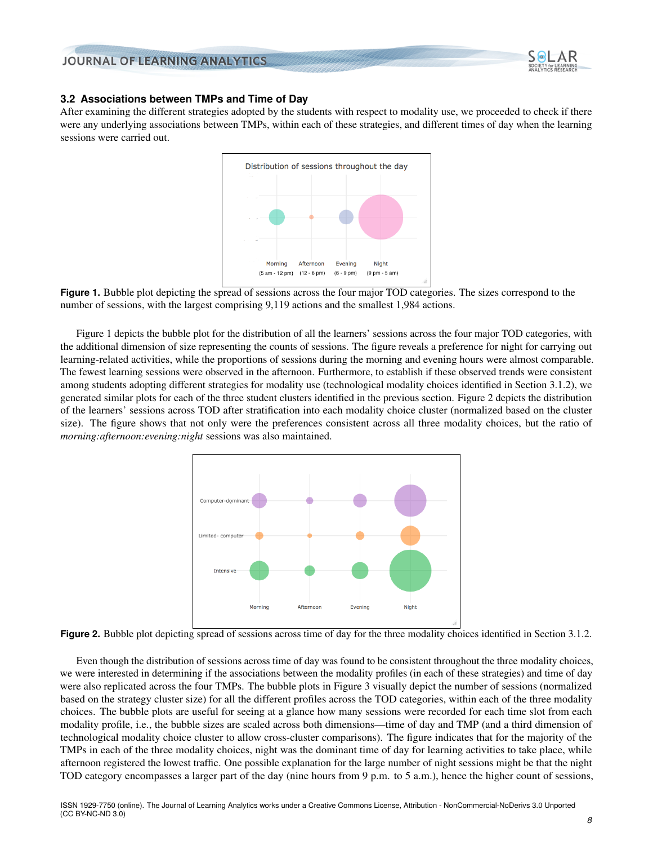

#### **3.2 Associations between TMPs and Time of Day**

<span id="page-7-0"></span>After examining the different strategies adopted by the students with respect to modality use, we proceeded to check if there were any underlying associations between TMPs, within each of these strategies, and different times of day when the learning sessions were carried out.





<span id="page-7-1"></span>Figure [1](#page-7-0) depicts the bubble plot for the distribution of all the learners' sessions across the four major TOD categories, with the additional dimension of size representing the counts of sessions. The figure reveals a preference for night for carrying out learning-related activities, while the proportions of sessions during the morning and evening hours were almost comparable. The fewest learning sessions were observed in the afternoon. Furthermore, to establish if these observed trends were consistent among students adopting different strategies for modality use (technological modality choices identified in Section [3.1.2\)](#page-6-2), we generated similar plots for each of the three student clusters identified in the previous section. Figure [2](#page-7-1) depicts the distribution of the learners' sessions across TOD after stratification into each modality choice cluster (normalized based on the cluster size). The figure shows that not only were the preferences consistent across all three modality choices, but the ratio of *morning:afternoon:evening:night* sessions was also maintained.



**Figure 2.** Bubble plot depicting spread of sessions across time of day for the three modality choices identified in Section [3.1.2.](#page-6-2)

Even though the distribution of sessions across time of day was found to be consistent throughout the three modality choices, we were interested in determining if the associations between the modality profiles (in each of these strategies) and time of day were also replicated across the four TMPs. The bubble plots in Figure [3](#page-8-0) visually depict the number of sessions (normalized based on the strategy cluster size) for all the different profiles across the TOD categories, within each of the three modality choices. The bubble plots are useful for seeing at a glance how many sessions were recorded for each time slot from each modality profile, i.e., the bubble sizes are scaled across both dimensions—time of day and TMP (and a third dimension of technological modality choice cluster to allow cross-cluster comparisons). The figure indicates that for the majority of the TMPs in each of the three modality choices, night was the dominant time of day for learning activities to take place, while afternoon registered the lowest traffic. One possible explanation for the large number of night sessions might be that the night TOD category encompasses a larger part of the day (nine hours from 9 p.m. to 5 a.m.), hence the higher count of sessions,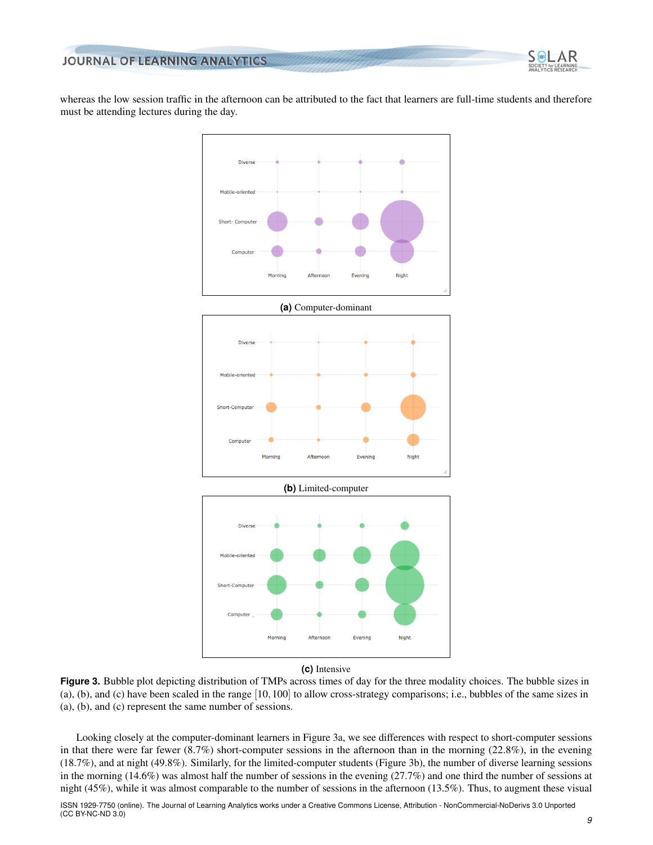

<span id="page-8-0"></span>whereas the low session traffic in the afternoon can be attributed to the fact that learners are full-time students and therefore must be attending lectures during the day.



**(c)** Intensive

**Figure 3.** Bubble plot depicting distribution of TMPs across times of day for the three modality choices. The bubble sizes in (a), (b), and (c) have been scaled in the range [10,100] to allow cross-strategy comparisons; i.e., bubbles of the same sizes in (a), (b), and (c) represent the same number of sessions.

Looking closely at the computer-dominant learners in Figure [3a,](#page-8-0) we see differences with respect to short-computer sessions in that there were far fewer (8.7%) short-computer sessions in the afternoon than in the morning (22.8%), in the evening (18.7%), and at night (49.8%). Similarly, for the limited-computer students (Figure [3b\)](#page-8-0), the number of diverse learning sessions in the morning (14.6%) was almost half the number of sessions in the evening (27.7%) and one third the number of sessions at night (45%), while it was almost comparable to the number of sessions in the afternoon (13.5%). Thus, to augment these visual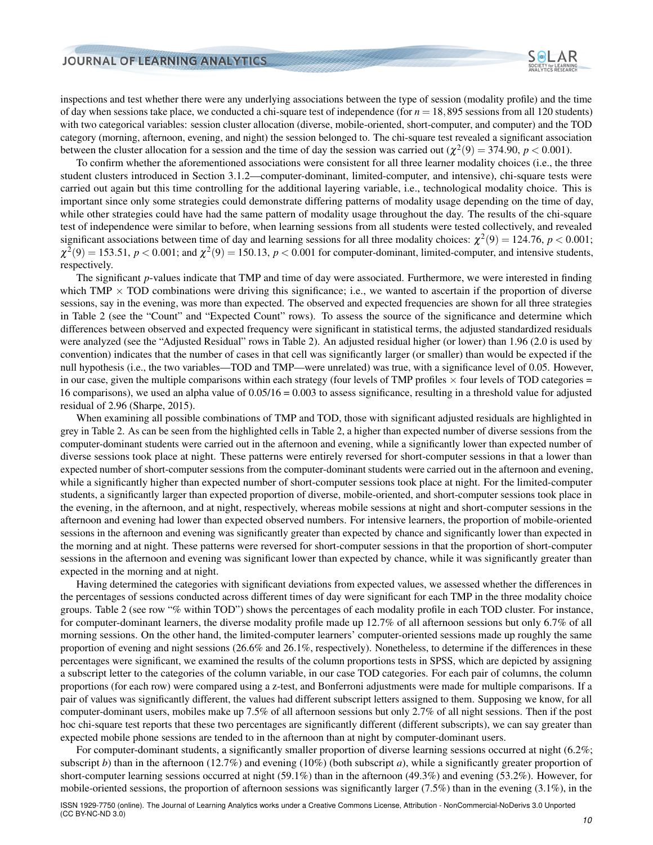

inspections and test whether there were any underlying associations between the type of session (modality profile) and the time of day when sessions take place, we conducted a chi-square test of independence (for  $n = 18,895$  sessions from all 120 students) with two categorical variables: session cluster allocation (diverse, mobile-oriented, short-computer, and computer) and the TOD category (morning, afternoon, evening, and night) the session belonged to. The chi-square test revealed a significant association between the cluster allocation for a session and the time of day the session was carried out  $(\chi^2(9) = 374.90, p < 0.001)$ .

To confirm whether the aforementioned associations were consistent for all three learner modality choices (i.e., the three student clusters introduced in Section [3.1.2—](#page-6-2)computer-dominant, limited-computer, and intensive), chi-square tests were carried out again but this time controlling for the additional layering variable, i.e., technological modality choice. This is important since only some strategies could demonstrate differing patterns of modality usage depending on the time of day, while other strategies could have had the same pattern of modality usage throughout the day. The results of the chi-square test of independence were similar to before, when learning sessions from all students were tested collectively, and revealed significant associations between time of day and learning sessions for all three modality choices:  $\chi^2(9) = 124.76$ ,  $p < 0.001$ ;  $\chi^2(9) = 153.51$ ,  $p < 0.001$ ; and  $\chi^2(9) = 150.13$ ,  $p < 0.001$  for computer-dominant, limited-computer, and intensive students, respectively.

The significant *p*-values indicate that TMP and time of day were associated. Furthermore, we were interested in finding which TMP  $\times$  TOD combinations were driving this significance; i.e., we wanted to ascertain if the proportion of diverse sessions, say in the evening, was more than expected. The observed and expected frequencies are shown for all three strategies in Table [2](#page-10-0) (see the "Count" and "Expected Count" rows). To assess the source of the significance and determine which differences between observed and expected frequency were significant in statistical terms, the adjusted standardized residuals were analyzed (see the "Adjusted Residual" rows in Table [2\)](#page-10-0). An adjusted residual higher (or lower) than 1.96 (2.0 is used by convention) indicates that the number of cases in that cell was significantly larger (or smaller) than would be expected if the null hypothesis (i.e., the two variables—TOD and TMP—were unrelated) was true, with a significance level of 0.05. However, in our case, given the multiple comparisons within each strategy (four levels of TMP profiles  $\times$  four levels of TOD categories = 16 comparisons), we used an alpha value of 0.05/16 = 0.003 to assess significance, resulting in a threshold value for adjusted residual of 2.96 [\(Sharpe,](#page-21-15) [2015\)](#page-21-15).

When examining all possible combinations of TMP and TOD, those with significant adjusted residuals are highlighted in grey in Table [2.](#page-10-0) As can be seen from the highlighted cells in Table [2,](#page-10-0) a higher than expected number of diverse sessions from the computer-dominant students were carried out in the afternoon and evening, while a significantly lower than expected number of diverse sessions took place at night. These patterns were entirely reversed for short-computer sessions in that a lower than expected number of short-computer sessions from the computer-dominant students were carried out in the afternoon and evening, while a significantly higher than expected number of short-computer sessions took place at night. For the limited-computer students, a significantly larger than expected proportion of diverse, mobile-oriented, and short-computer sessions took place in the evening, in the afternoon, and at night, respectively, whereas mobile sessions at night and short-computer sessions in the afternoon and evening had lower than expected observed numbers. For intensive learners, the proportion of mobile-oriented sessions in the afternoon and evening was significantly greater than expected by chance and significantly lower than expected in the morning and at night. These patterns were reversed for short-computer sessions in that the proportion of short-computer sessions in the afternoon and evening was significant lower than expected by chance, while it was significantly greater than expected in the morning and at night.

Having determined the categories with significant deviations from expected values, we assessed whether the differences in the percentages of sessions conducted across different times of day were significant for each TMP in the three modality choice groups. Table [2](#page-10-0) (see row "% within TOD") shows the percentages of each modality profile in each TOD cluster. For instance, for computer-dominant learners, the diverse modality profile made up 12.7% of all afternoon sessions but only 6.7% of all morning sessions. On the other hand, the limited-computer learners' computer-oriented sessions made up roughly the same proportion of evening and night sessions (26.6% and 26.1%, respectively). Nonetheless, to determine if the differences in these percentages were significant, we examined the results of the column proportions tests in SPSS, which are depicted by assigning a subscript letter to the categories of the column variable, in our case TOD categories. For each pair of columns, the column proportions (for each row) were compared using a z-test, and Bonferroni adjustments were made for multiple comparisons. If a pair of values was significantly different, the values had different subscript letters assigned to them. Supposing we know, for all computer-dominant users, mobiles make up 7.5% of all afternoon sessions but only 2.7% of all night sessions. Then if the post hoc chi-square test reports that these two percentages are significantly different (different subscripts), we can say greater than expected mobile phone sessions are tended to in the afternoon than at night by computer-dominant users.

For computer-dominant students, a significantly smaller proportion of diverse learning sessions occurred at night (6.2%; subscript *b*) than in the afternoon (12.7%) and evening (10%) (both subscript *a*), while a significantly greater proportion of short-computer learning sessions occurred at night (59.1%) than in the afternoon (49.3%) and evening (53.2%). However, for mobile-oriented sessions, the proportion of afternoon sessions was significantly larger (7.5%) than in the evening (3.1%), in the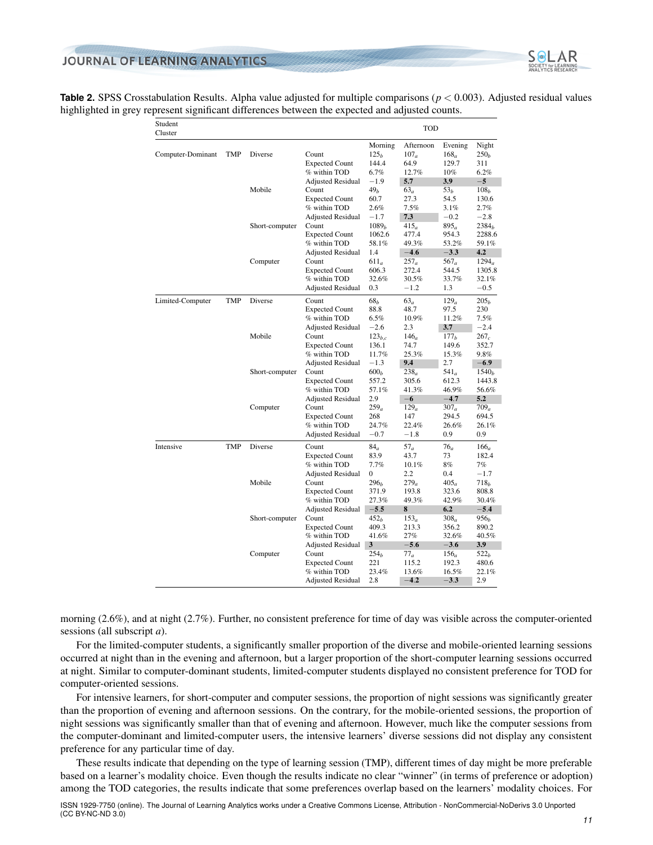

<span id="page-10-0"></span>

| <b>Table 2.</b> SPSS Crosstabulation Results. Alpha value adjusted for multiple comparisons ( $p < 0.003$ ). Adjusted residual values |  |
|---------------------------------------------------------------------------------------------------------------------------------------|--|
| highlighted in grey represent significant differences between the expected and adjusted counts.                                       |  |

| Student<br>Cluster |            |                |                                                                                                        |                                                   | <b>TOD</b>                                         |                                                     |                                                |
|--------------------|------------|----------------|--------------------------------------------------------------------------------------------------------|---------------------------------------------------|----------------------------------------------------|-----------------------------------------------------|------------------------------------------------|
| Computer-Dominant  | <b>TMP</b> | Diverse        | Count<br><b>Expected Count</b><br>% within TOD                                                         | Morning<br>125 <sub>b</sub><br>144.4<br>$6.7\%$   | Afternoon<br>107 <sub>a</sub><br>64.9<br>12.7%     | Evening<br>168 <sub>a</sub><br>129.7<br>10%         | Night<br>250 <sub>b</sub><br>311<br>6.2%       |
|                    |            | Mobile         | <b>Adjusted Residual</b><br>Count<br><b>Expected Count</b>                                             | $-1.9$<br>49 <sub>b</sub><br>60.7                 | 5.7<br>63 <sub>a</sub><br>27.3                     | 3.9<br>53 <sub>b</sub><br>54.5                      | $-5$<br>108 <sub>b</sub><br>130.6              |
|                    |            | Short-computer | % within TOD<br><b>Adjusted Residual</b><br>Count<br><b>Expected Count</b>                             | $2.6\%$<br>$-1.7$<br>1089 <sub>b</sub><br>1062.6  | 7.5%<br>7.3<br>415 <sub>a</sub><br>477.4           | 3.1%<br>$-0.2$<br>895 <sub>a</sub><br>954.3         | 2.7%<br>$-2.8$<br>2384 <sub>b</sub><br>2288.6  |
|                    |            | Computer       | % within TOD<br><b>Adjusted Residual</b><br>Count<br><b>Expected Count</b><br>% within TOD             | 58.1%<br>1.4<br>$611_a$<br>606.3<br>32.6%         | 49.3%<br>$-4.6$<br>$257_a$<br>272.4<br>30.5%       | 53.2%<br>$-3.3$<br>$567_a$<br>544.5<br>33.7%        | 59.1%<br>4.2<br>$1294_a$<br>1305.8<br>32.1%    |
| Limited-Computer   | <b>TMP</b> | Diverse        | <b>Adjusted Residual</b><br>Count<br><b>Expected Count</b><br>% within TOD                             | 0.3<br>68,<br>88.8<br>6.5%                        | $-1.2$<br>63 <sub>a</sub><br>48.7<br>10.9%         | 1.3<br>129 <sub>a</sub><br>97.5<br>11.2%            | $-0.5$<br>205 <sub>b</sub><br>230<br>7.5%      |
|                    |            | Mobile         | <b>Adjusted Residual</b><br>Count<br><b>Expected Count</b><br>% within TOD                             | $-2.6$<br>$123_{b,c}$<br>136.1<br>11.7%           | 2.3<br>146 <sub>a</sub><br>74.7<br>25.3%           | 3.7<br>177 <sub>b</sub><br>149.6<br>15.3%           | $-2.4$<br>$267_c$<br>352.7<br>9.8%             |
|                    |            | Short-computer | <b>Adjusted Residual</b><br>Count<br><b>Expected Count</b><br>% within TOD                             | $-1.3$<br>600 <sub>b</sub><br>557.2<br>57.1%      | 9.4<br>238 <sub>a</sub><br>305.6<br>41.3%          | 2.7<br>541 <sub>a</sub><br>612.3<br>46.9%           | $-6.9$<br>1540 <sub>b</sub><br>1443.8<br>56.6% |
|                    |            | Computer       | <b>Adjusted Residual</b><br>Count<br><b>Expected Count</b><br>% within TOD<br><b>Adjusted Residual</b> | 2.9<br>259 <sub>a</sub><br>268<br>24.7%<br>$-0.7$ | $-6$<br>129 <sub>a</sub><br>147<br>22.4%<br>$-1.8$ | $-4.7$<br>307 <sub>a</sub><br>294.5<br>26.6%<br>0.9 | 5.2<br>$709_a$<br>694.5<br>26.1%<br>0.9        |
| Intensive          | <b>TMP</b> | Diverse        | Count<br><b>Expected Count</b><br>% within TOD                                                         | 84 <sub>a</sub><br>83.9<br>7.7%                   | $57_a$<br>43.7<br>10.1%                            | 76 <sub>a</sub><br>73<br>8%                         | 166 <sub>a</sub><br>182.4<br>7%                |
|                    |            | Mobile         | <b>Adjusted Residual</b><br>Count<br><b>Expected Count</b><br>% within TOD                             | 0<br>296 <sub>b</sub><br>371.9<br>27.3%           | 2.2<br>$279_a$<br>193.8<br>49.3%                   | 0.4<br>405 <sub>a</sub><br>323.6<br>42.9%           | $-1.7$<br>718 <sub>b</sub><br>808.8<br>30.4%   |
|                    |            | Short-computer | <b>Adjusted Residual</b><br>Count<br><b>Expected Count</b><br>% within TOD                             | $-5.5$<br>452 <sub>b</sub><br>409.3<br>41.6%      | 8<br>153 <sub>a</sub><br>213.3<br>27%              | 6.2<br>308 <sub>a</sub><br>356.2<br>32.6%           | $-5.4$<br>956 <sub>b</sub><br>890.2<br>40.5%   |
|                    |            | Computer       | <b>Adjusted Residual</b><br>Count<br><b>Expected Count</b><br>% within TOD                             | 3<br>254 <sub>b</sub><br>221<br>23.4%             | $-5.6$<br>$77_a$<br>115.2<br>13.6%                 | $-3.6$<br>156 <sub>a</sub><br>192.3<br>16.5%        | 3.9<br>522 <sub>b</sub><br>480.6<br>22.1%      |
|                    |            |                | <b>Adjusted Residual</b>                                                                               | 2.8                                               | $-4.2$                                             | $-3.3$                                              | 2.9                                            |

morning (2.6%), and at night (2.7%). Further, no consistent preference for time of day was visible across the computer-oriented sessions (all subscript *a*).

For the limited-computer students, a significantly smaller proportion of the diverse and mobile-oriented learning sessions occurred at night than in the evening and afternoon, but a larger proportion of the short-computer learning sessions occurred at night. Similar to computer-dominant students, limited-computer students displayed no consistent preference for TOD for computer-oriented sessions.

For intensive learners, for short-computer and computer sessions, the proportion of night sessions was significantly greater than the proportion of evening and afternoon sessions. On the contrary, for the mobile-oriented sessions, the proportion of night sessions was significantly smaller than that of evening and afternoon. However, much like the computer sessions from the computer-dominant and limited-computer users, the intensive learners' diverse sessions did not display any consistent preference for any particular time of day.

These results indicate that depending on the type of learning session (TMP), different times of day might be more preferable based on a learner's modality choice. Even though the results indicate no clear "winner" (in terms of preference or adoption) among the TOD categories, the results indicate that some preferences overlap based on the learners' modality choices. For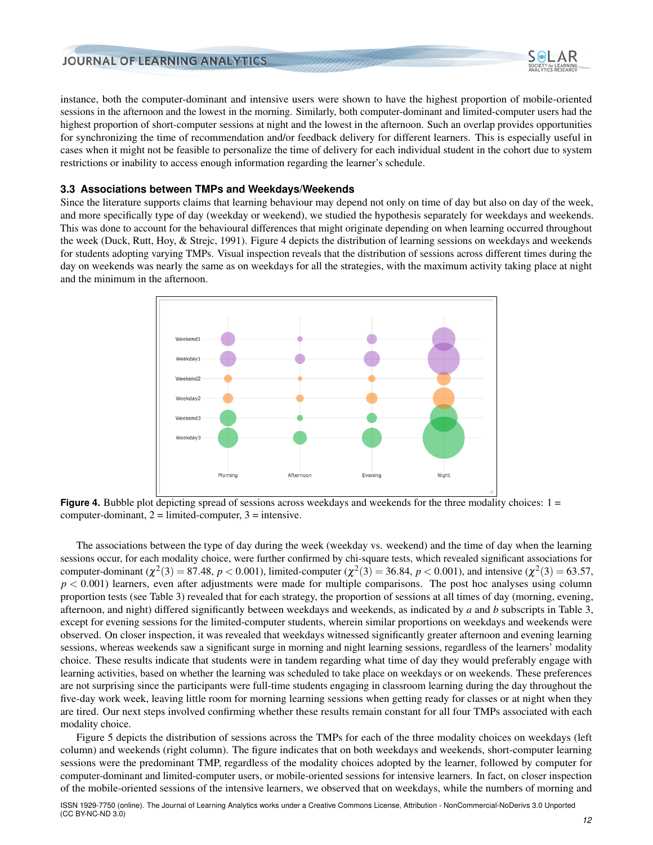instance, both the computer-dominant and intensive users were shown to have the highest proportion of mobile-oriented sessions in the afternoon and the lowest in the morning. Similarly, both computer-dominant and limited-computer users had the highest proportion of short-computer sessions at night and the lowest in the afternoon. Such an overlap provides opportunities for synchronizing the time of recommendation and/or feedback delivery for different learners. This is especially useful in cases when it might not be feasible to personalize the time of delivery for each individual student in the cohort due to system restrictions or inability to access enough information regarding the learner's schedule.

#### **3.3 Associations between TMPs and Weekdays/Weekends**

<span id="page-11-0"></span>Since the literature supports claims that learning behaviour may depend not only on time of day but also on day of the week, and more specifically type of day (weekday or weekend), we studied the hypothesis separately for weekdays and weekends. This was done to account for the behavioural differences that might originate depending on when learning occurred throughout the week [\(Duck, Rutt, Hoy, & Strejc,](#page-20-10) [1991\)](#page-20-10). Figure [4](#page-11-0) depicts the distribution of learning sessions on weekdays and weekends for students adopting varying TMPs. Visual inspection reveals that the distribution of sessions across different times during the day on weekends was nearly the same as on weekdays for all the strategies, with the maximum activity taking place at night and the minimum in the afternoon.



**Figure 4.** Bubble plot depicting spread of sessions across weekdays and weekends for the three modality choices:  $1 =$ computer-dominant,  $2 =$  limited-computer,  $3 =$  intensive.

The associations between the type of day during the week (weekday vs. weekend) and the time of day when the learning sessions occur, for each modality choice, were further confirmed by chi-square tests, which revealed significant associations for computer-dominant ( $\chi^2(3) = 87.48$ ,  $p < 0.001$ ), limited-computer ( $\chi^2(3) = 36.84$ ,  $p < 0.001$ ), and intensive ( $\chi^2(3) = 63.57$ ,  $p < 0.001$ ) learners, even after adjustments were made for multiple comparisons. The post hoc analyses using column proportion tests (see Table [3\)](#page-13-0) revealed that for each strategy, the proportion of sessions at all times of day (morning, evening, afternoon, and night) differed significantly between weekdays and weekends, as indicated by *a* and *b* subscripts in Table [3,](#page-13-0) except for evening sessions for the limited-computer students, wherein similar proportions on weekdays and weekends were observed. On closer inspection, it was revealed that weekdays witnessed significantly greater afternoon and evening learning sessions, whereas weekends saw a significant surge in morning and night learning sessions, regardless of the learners' modality choice. These results indicate that students were in tandem regarding what time of day they would preferably engage with learning activities, based on whether the learning was scheduled to take place on weekdays or on weekends. These preferences are not surprising since the participants were full-time students engaging in classroom learning during the day throughout the five-day work week, leaving little room for morning learning sessions when getting ready for classes or at night when they are tired. Our next steps involved confirming whether these results remain constant for all four TMPs associated with each modality choice.

Figure [5](#page-12-0) depicts the distribution of sessions across the TMPs for each of the three modality choices on weekdays (left column) and weekends (right column). The figure indicates that on both weekdays and weekends, short-computer learning sessions were the predominant TMP, regardless of the modality choices adopted by the learner, followed by computer for computer-dominant and limited-computer users, or mobile-oriented sessions for intensive learners. In fact, on closer inspection of the mobile-oriented sessions of the intensive learners, we observed that on weekdays, while the numbers of morning and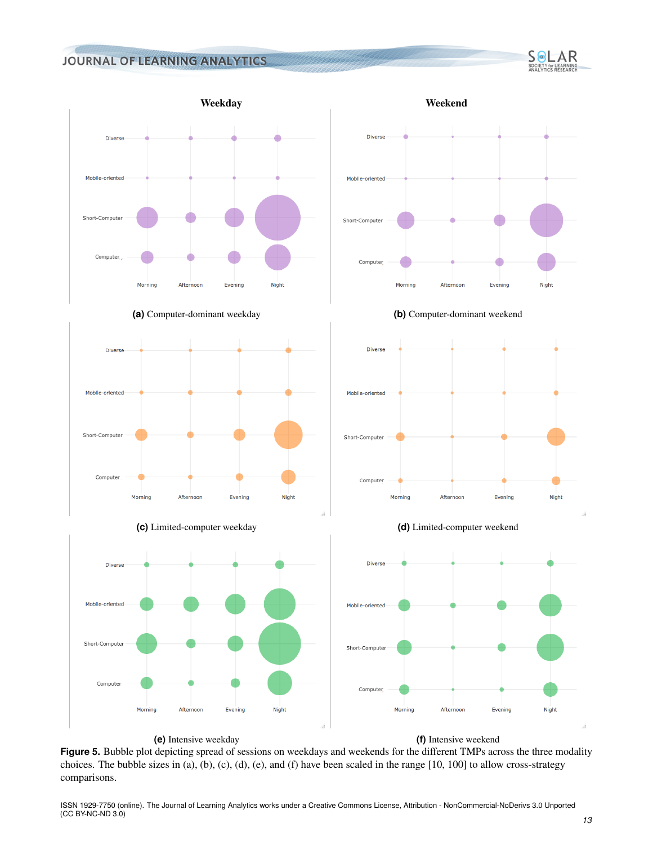<span id="page-12-0"></span>















**(e)** Intensive weekday **(f)** Intensive weekend

**Figure 5.** Bubble plot depicting spread of sessions on weekdays and weekends for the different TMPs across the three modality choices. The bubble sizes in (a), (b), (c), (d), (e), and (f) have been scaled in the range  $[10, 100]$  to allow cross-strategy comparisons.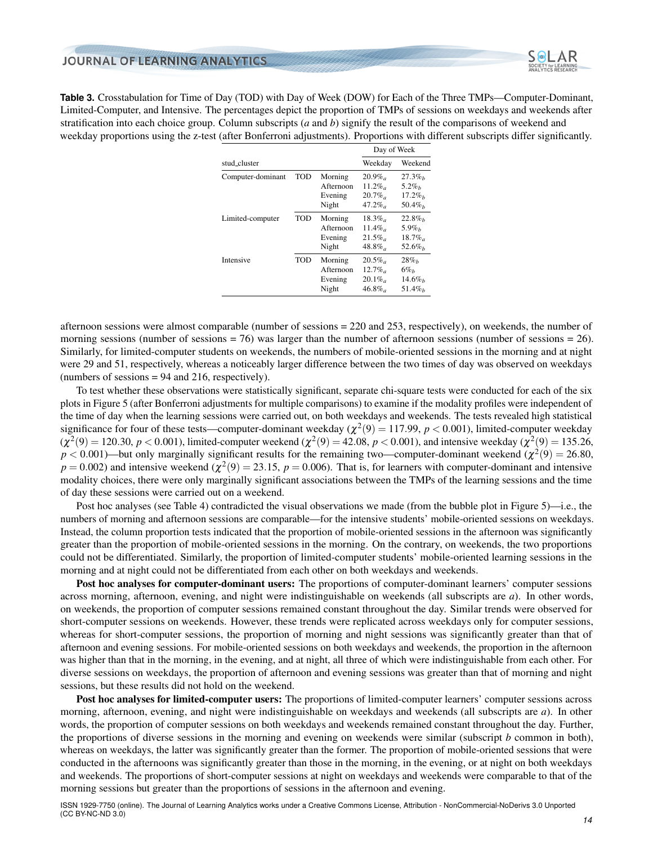<span id="page-13-0"></span>**Table 3.** Crosstabulation for Time of Day (TOD) with Day of Week (DOW) for Each of the Three TMPs—Computer-Dominant, Limited-Computer, and Intensive. The percentages depict the proportion of TMPs of sessions on weekdays and weekends after stratification into each choice group. Column subscripts (*a* and *b*) signify the result of the comparisons of weekend and weekday proportions using the z-test (after Bonferroni adjustments). Proportions with different subscripts differ significantly.

|                   |            |                                          | Day of Week                                  |                                             |
|-------------------|------------|------------------------------------------|----------------------------------------------|---------------------------------------------|
| stud_cluster      | Weekday    | Weekend                                  |                                              |                                             |
| Computer-dominant | TOD        | Morning<br>Afternoon<br>Evening<br>Night | $20.9\%$<br>$11.2\%$<br>$20.7\%$<br>$47.2\%$ | $27.3\%$<br>$5.2\%$<br>$17.2\%$<br>$50.4\%$ |
| Limited-computer  | TOD        | Morning<br>Afternoon<br>Evening<br>Night | $18.3\%$<br>11.4%<br>$21.5\%$<br>$48.8\%$    | $22.8\%$<br>$5.9\%$<br>$18.7\%$<br>$52.6\%$ |
| Intensive         | <b>TOD</b> | Morning<br>Afternoon<br>Evening<br>Night | $20.5\%$<br>$12.7\%$<br>$20.1\%$<br>$46.8\%$ | $28\%$<br>$6\%$<br>$14.6\%$<br>$51.4\%$     |

afternoon sessions were almost comparable (number of sessions = 220 and 253, respectively), on weekends, the number of morning sessions (number of sessions = 76) was larger than the number of afternoon sessions (number of sessions = 26). Similarly, for limited-computer students on weekends, the numbers of mobile-oriented sessions in the morning and at night were 29 and 51, respectively, whereas a noticeably larger difference between the two times of day was observed on weekdays (numbers of sessions  $= 94$  and 216, respectively).

To test whether these observations were statistically significant, separate chi-square tests were conducted for each of the six plots in Figure [5](#page-12-0) (after Bonferroni adjustments for multiple comparisons) to examine if the modality profiles were independent of the time of day when the learning sessions were carried out, on both weekdays and weekends. The tests revealed high statistical significance for four of these tests—computer-dominant weekday ( $\chi^2(9) = 117.99$ ,  $p < 0.001$ ), limited-computer weekday  $(\chi^2(9) = 120.30, p < 0.001)$ , limited-computer weekend  $(\chi^2(9) = 42.08, p < 0.001)$ , and intensive weekday  $(\chi^2(9) = 135.26, p < 0.001)$  $p < 0.001$ )—but only marginally significant results for the remaining two—computer-dominant weekend ( $\chi^2(9) = 26.80$ ,  $p = 0.002$ ) and intensive weekend ( $\chi^2(9) = 23.15$ ,  $p = 0.006$ ). That is, for learners with computer-dominant and intensive modality choices, there were only marginally significant associations between the TMPs of the learning sessions and the time of day these sessions were carried out on a weekend.

Post hoc analyses (see Table [4\)](#page-14-0) contradicted the visual observations we made (from the bubble plot in Figure [5\)](#page-12-0)—i.e., the numbers of morning and afternoon sessions are comparable—for the intensive students' mobile-oriented sessions on weekdays. Instead, the column proportion tests indicated that the proportion of mobile-oriented sessions in the afternoon was significantly greater than the proportion of mobile-oriented sessions in the morning. On the contrary, on weekends, the two proportions could not be differentiated. Similarly, the proportion of limited-computer students' mobile-oriented learning sessions in the morning and at night could not be differentiated from each other on both weekdays and weekends.

Post hoc analyses for computer-dominant users: The proportions of computer-dominant learners' computer sessions across morning, afternoon, evening, and night were indistinguishable on weekends (all subscripts are *a*). In other words, on weekends, the proportion of computer sessions remained constant throughout the day. Similar trends were observed for short-computer sessions on weekends. However, these trends were replicated across weekdays only for computer sessions, whereas for short-computer sessions, the proportion of morning and night sessions was significantly greater than that of afternoon and evening sessions. For mobile-oriented sessions on both weekdays and weekends, the proportion in the afternoon was higher than that in the morning, in the evening, and at night, all three of which were indistinguishable from each other. For diverse sessions on weekdays, the proportion of afternoon and evening sessions was greater than that of morning and night sessions, but these results did not hold on the weekend.

Post hoc analyses for limited-computer users: The proportions of limited-computer learners' computer sessions across morning, afternoon, evening, and night were indistinguishable on weekdays and weekends (all subscripts are *a*). In other words, the proportion of computer sessions on both weekdays and weekends remained constant throughout the day. Further, the proportions of diverse sessions in the morning and evening on weekends were similar (subscript *b* common in both), whereas on weekdays, the latter was significantly greater than the former. The proportion of mobile-oriented sessions that were conducted in the afternoons was significantly greater than those in the morning, in the evening, or at night on both weekdays and weekends. The proportions of short-computer sessions at night on weekdays and weekends were comparable to that of the morning sessions but greater than the proportions of sessions in the afternoon and evening.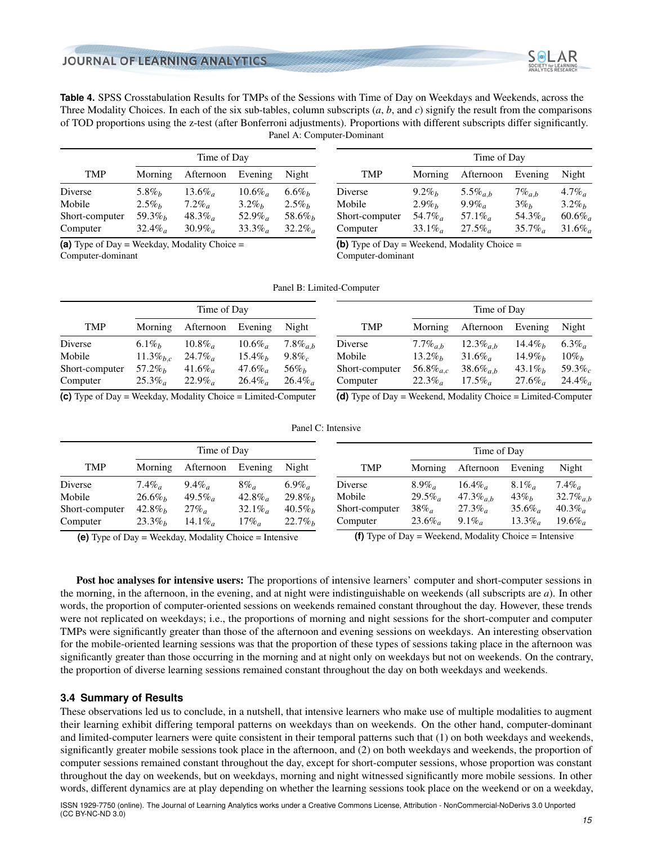

<span id="page-14-0"></span>**Table 4.** SPSS Crosstabulation Results for TMPs of the Sessions with Time of Day on Weekdays and Weekends, across the Three Modality Choices. In each of the six sub-tables, column subscripts (*a*, *b*, and *c*) signify the result from the comparisons of TOD proportions using the z-test (after Bonferroni adjustments). Proportions with different subscripts differ significantly. Panel A: Computer-Dominant

| <b>TMP</b>     | Morning                | Afternoon             | Evening  | Night    |
|----------------|------------------------|-----------------------|----------|----------|
| Diverse        | $5.8\%$                | $13.6\%$              | $10.6\%$ | $6.6\%$  |
| Mobile         | $2.5\%$                | $7.2\%$               | $3.2\%$  | $2.5\%$  |
| Short-computer | 59.3 $\%$ <sub>b</sub> | $48.3\%$              | $52.9\%$ | $58.6\%$ |
| Computer       | $32.4\%$               | $30.9\%$ <sub>a</sub> | $33.3\%$ | $32.2\%$ |

**(a)** Type of Day = Weekday, Modality Choice = Computer-dominant

|                |                        | Time of Day            |                        |          |  |  |  |
|----------------|------------------------|------------------------|------------------------|----------|--|--|--|
| <b>TMP</b>     | Morning                | Afternoon              | Evening                | Night    |  |  |  |
| Diverse        | $9.2\%$                | 5.5% $a,b$             | $7\%$ <sub>a,b</sub>   | $4.7\%$  |  |  |  |
| Mobile         | $2.9\%$                | $9.9\%$                | $3\%$ <sub>b</sub>     | $3.2\%$  |  |  |  |
| Short-computer | 54.7 $\%$ <sub>a</sub> | 57.1 $\%$ <sub>a</sub> | 54.3 $\%$ <sub>a</sub> | $60.6\%$ |  |  |  |
| Computer       | $33.1\%$               | $27.5\%$               | $35.7\%$               | $31.6\%$ |  |  |  |

**(b)** Type of Day = Weekend, Modality Choice = Computer-dominant

| Time of Day                                                                             |                 |           |                       |                |                |                  | Time of Day              |          |          |
|-----------------------------------------------------------------------------------------|-----------------|-----------|-----------------------|----------------|----------------|------------------|--------------------------|----------|----------|
| <b>TMP</b>                                                                              | Morning         | Afternoon | Evening               | Night          | <b>TMP</b>     | Morning          | Afternoon                | Evening  | Night    |
| Diverse                                                                                 | 6.1%            | $10.8\%$  | $10.6\%$ <sub>a</sub> | 7.8 $\%_{a,b}$ | Diverse        | 7.7 $\%_{a,b}$   | 12.3 $\%_{a,b}$          | $14.4\%$ | $6.3\%$  |
| Mobile                                                                                  | 11.3 $\%_{b,c}$ | $24.7\%$  | $15.4\%$              | $9.8\%$        | Mobile         | $13.2\%$         | $31.6\%$ <sub>a</sub>    | $14.9\%$ | $10\%$   |
| Short-computer                                                                          | $57.2\%$        | $41.6\%$  | $47.6\%$              | $56\%$         | Short-computer | 56.8 $\%_{a.c.}$ | 38.6 $\%$ <sub>a b</sub> | $43.1\%$ | $59.3\%$ |
| Computer                                                                                | $25.3\%$        | $22.9\%$  | $26.4\%$              | $26.4\%$       | Computer       | $22.3\%$         | $17.5\%$ <sub>a</sub>    | $27.6\%$ | $24.4\%$ |
| $\left(\bullet\right)$ Thus of Dec. We define $M_{\pm}$ delta Chains I inited Commutes. |                 |           |                       |                | $\mathcal{L}$  |                  |                          |          |          |

**(c)** Type of Day = Weekday, Modality Choice = Limited-Computer

**(d)** Type of Day = Weekend, Modality Choice = Limited-Computer

Panel C: Intensive

| Time of Day    |          |                     |          |          |                | Time of Day |                 |          |                |
|----------------|----------|---------------------|----------|----------|----------------|-------------|-----------------|----------|----------------|
| <b>TMP</b>     | Morning  | Afternoon           | Evening  | Night    | <b>TMP</b>     | Morning     | Afternoon       | Evening  | Night          |
| Diverse        | $7.4\%$  | $9.4\%$             | $8\%$    | $6.9\%$  | Diverse        | $8.9\%$     | $16.4\%$        | $8.1\%$  | $7.4\%$        |
| Mobile         | $26.6\%$ | $49.5\%$            | $42.8\%$ | $29.8\%$ | Mobile         | $29.5\%$    | 47.3 $\%_{a,b}$ | $43\%$   | $32.7\%_{a,b}$ |
| Short-computer | $42.8\%$ | $27\%$ <sub>a</sub> | $32.1\%$ | $40.5\%$ | Short-computer | $38\%$      | $27.3\%$        | $35.6\%$ | $40.3\%$       |
| Computer       | $23.3\%$ | 14.1\%              | $17\%$ a | $22.7\%$ | Computer       | $23.6\%$    | $9.1\%$         | $13.3\%$ | $19.6\%$       |

**(e)** Type of Day = Weekday, Modality Choice = Intensive

**(f)** Type of Day = Weekend, Modality Choice = Intensive

Post hoc analyses for intensive users: The proportions of intensive learners' computer and short-computer sessions in the morning, in the afternoon, in the evening, and at night were indistinguishable on weekends (all subscripts are *a*). In other words, the proportion of computer-oriented sessions on weekends remained constant throughout the day. However, these trends were not replicated on weekdays; i.e., the proportions of morning and night sessions for the short-computer and computer TMPs were significantly greater than those of the afternoon and evening sessions on weekdays. An interesting observation for the mobile-oriented learning sessions was that the proportion of these types of sessions taking place in the afternoon was significantly greater than those occurring in the morning and at night only on weekdays but not on weekends. On the contrary, the proportion of diverse learning sessions remained constant throughout the day on both weekdays and weekends.

## **3.4 Summary of Results**

These observations led us to conclude, in a nutshell, that intensive learners who make use of multiple modalities to augment their learning exhibit differing temporal patterns on weekdays than on weekends. On the other hand, computer-dominant and limited-computer learners were quite consistent in their temporal patterns such that (1) on both weekdays and weekends, significantly greater mobile sessions took place in the afternoon, and (2) on both weekdays and weekends, the proportion of computer sessions remained constant throughout the day, except for short-computer sessions, whose proportion was constant throughout the day on weekends, but on weekdays, morning and night witnessed significantly more mobile sessions. In other words, different dynamics are at play depending on whether the learning sessions took place on the weekend or on a weekday,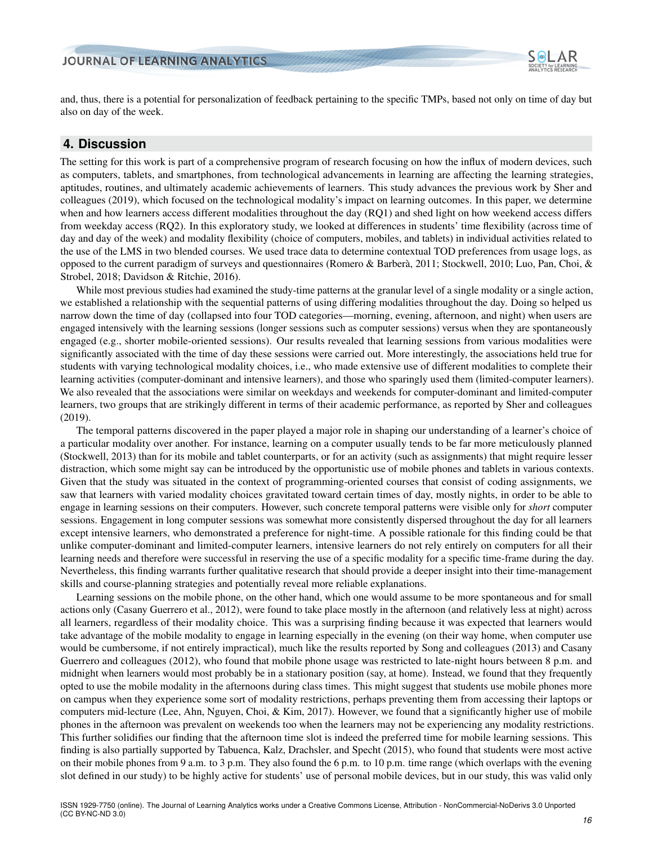

and, thus, there is a potential for personalization of feedback pertaining to the specific TMPs, based not only on time of day but also on day of the week.

## **4. Discussion**

The setting for this work is part of a comprehensive program of research focusing on how the influx of modern devices, such as computers, tablets, and smartphones, from technological advancements in learning are affecting the learning strategies, aptitudes, routines, and ultimately academic achievements of learners. This study advances the previous work by Sher and colleagues [\(2019\)](#page-22-0), which focused on the technological modality's impact on learning outcomes. In this paper, we determine when and how learners access different modalities throughout the day (RQ1) and shed light on how weekend access differs from weekday access (RQ2). In this exploratory study, we looked at differences in students' time flexibility (across time of day and day of the week) and modality flexibility (choice of computers, mobiles, and tablets) in individual activities related to the use of the LMS in two blended courses. We used trace data to determine contextual TOD preferences from usage logs, as opposed to the current paradigm of surveys and questionnaires [\(Romero & Barbera`,](#page-21-3) [2011;](#page-21-3) [Stockwell,](#page-22-1) [2010;](#page-22-1) [Luo, Pan, Choi, &](#page-21-16) [Strobel,](#page-21-16) [2018;](#page-21-16) [Davidson & Ritchie,](#page-20-11) [2016\)](#page-20-11).

While most previous studies had examined the study-time patterns at the granular level of a single modality or a single action, we established a relationship with the sequential patterns of using differing modalities throughout the day. Doing so helped us narrow down the time of day (collapsed into four TOD categories—morning, evening, afternoon, and night) when users are engaged intensively with the learning sessions (longer sessions such as computer sessions) versus when they are spontaneously engaged (e.g., shorter mobile-oriented sessions). Our results revealed that learning sessions from various modalities were significantly associated with the time of day these sessions were carried out. More interestingly, the associations held true for students with varying technological modality choices, i.e., who made extensive use of different modalities to complete their learning activities (computer-dominant and intensive learners), and those who sparingly used them (limited-computer learners). We also revealed that the associations were similar on weekdays and weekends for computer-dominant and limited-computer learners, two groups that are strikingly different in terms of their academic performance, as reported by Sher and colleagues [\(2019\)](#page-22-0).

The temporal patterns discovered in the paper played a major role in shaping our understanding of a learner's choice of a particular modality over another. For instance, learning on a computer usually tends to be far more meticulously planned [\(Stockwell,](#page-22-2) [2013\)](#page-22-2) than for its mobile and tablet counterparts, or for an activity (such as assignments) that might require lesser distraction, which some might say can be introduced by the opportunistic use of mobile phones and tablets in various contexts. Given that the study was situated in the context of programming-oriented courses that consist of coding assignments, we saw that learners with varied modality choices gravitated toward certain times of day, mostly nights, in order to be able to engage in learning sessions on their computers. However, such concrete temporal patterns were visible only for *short* computer sessions. Engagement in long computer sessions was somewhat more consistently dispersed throughout the day for all learners except intensive learners, who demonstrated a preference for night-time. A possible rationale for this finding could be that unlike computer-dominant and limited-computer learners, intensive learners do not rely entirely on computers for all their learning needs and therefore were successful in reserving the use of a specific modality for a specific time-frame during the day. Nevertheless, this finding warrants further qualitative research that should provide a deeper insight into their time-management skills and course-planning strategies and potentially reveal more reliable explanations.

Learning sessions on the mobile phone, on the other hand, which one would assume to be more spontaneous and for small actions only [\(Casany Guerrero et al.,](#page-20-6) [2012\)](#page-20-6), were found to take place mostly in the afternoon (and relatively less at night) across all learners, regardless of their modality choice. This was a surprising finding because it was expected that learners would take advantage of the mobile modality to engage in learning especially in the evening (on their way home, when computer use would be cumbersome, if not entirely impractical), much like the results reported by Song and colleagues [\(2013\)](#page-22-5) and Casany Guerrero and colleagues [\(2012\)](#page-20-6), who found that mobile phone usage was restricted to late-night hours between 8 p.m. and midnight when learners would most probably be in a stationary position (say, at home). Instead, we found that they frequently opted to use the mobile modality in the afternoons during class times. This might suggest that students use mobile phones more on campus when they experience some sort of modality restrictions, perhaps preventing them from accessing their laptops or computers mid-lecture [\(Lee, Ahn, Nguyen, Choi, & Kim,](#page-20-12) [2017\)](#page-20-12). However, we found that a significantly higher use of mobile phones in the afternoon was prevalent on weekends too when the learners may not be experiencing any modality restrictions. This further solidifies our finding that the afternoon time slot is indeed the preferred time for mobile learning sessions. This finding is also partially supported by [Tabuenca, Kalz, Drachsler, and Specht](#page-22-9) [\(2015\)](#page-22-9), who found that students were most active on their mobile phones from 9 a.m. to 3 p.m. They also found the 6 p.m. to 10 p.m. time range (which overlaps with the evening slot defined in our study) to be highly active for students' use of personal mobile devices, but in our study, this was valid only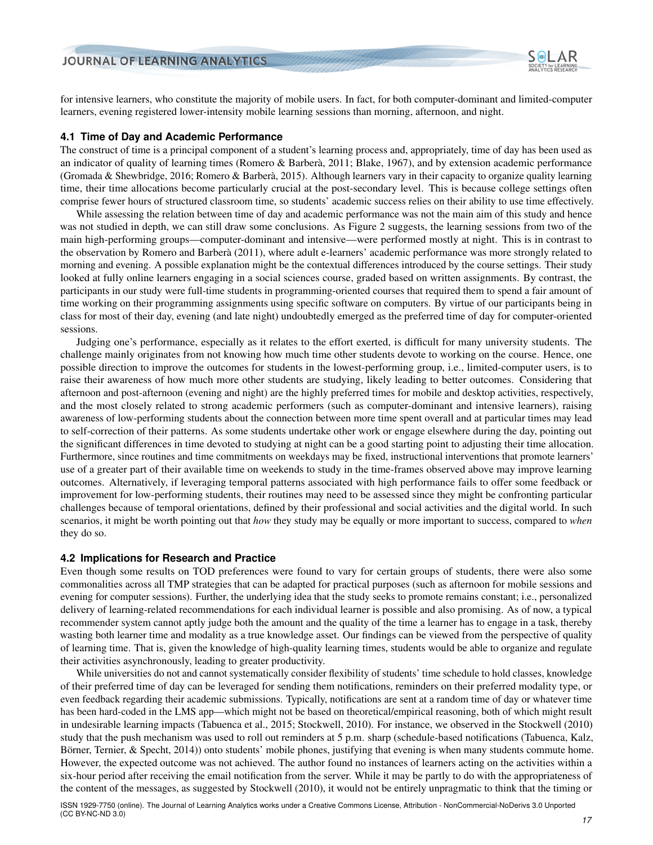for intensive learners, who constitute the majority of mobile users. In fact, for both computer-dominant and limited-computer learners, evening registered lower-intensity mobile learning sessions than morning, afternoon, and night.

#### **4.1 Time of Day and Academic Performance**

The construct of time is a principal component of a student's learning process and, appropriately, time of day has been used as an indicator of quality of learning times (Romero & Barberà, [2011;](#page-21-3) [Blake,](#page-19-5) [1967\)](#page-19-5), and by extension academic performance [\(Gromada & Shewbridge,](#page-20-13) [2016;](#page-20-13) [Romero & Barbera`,](#page-21-17) [2015\)](#page-21-17). Although learners vary in their capacity to organize quality learning time, their time allocations become particularly crucial at the post-secondary level. This is because college settings often comprise fewer hours of structured classroom time, so students' academic success relies on their ability to use time effectively.

While assessing the relation between time of day and academic performance was not the main aim of this study and hence was not studied in depth, we can still draw some conclusions. As Figure [2](#page-7-1) suggests, the learning sessions from two of the main high-performing groups—computer-dominant and intensive—were performed mostly at night. This is in contrast to the observation by [Romero and Barbera`](#page-21-3) [\(2011\)](#page-21-3), where adult e-learners' academic performance was more strongly related to morning and evening. A possible explanation might be the contextual differences introduced by the course settings. Their study looked at fully online learners engaging in a social sciences course, graded based on written assignments. By contrast, the participants in our study were full-time students in programming-oriented courses that required them to spend a fair amount of time working on their programming assignments using specific software on computers. By virtue of our participants being in class for most of their day, evening (and late night) undoubtedly emerged as the preferred time of day for computer-oriented sessions.

Judging one's performance, especially as it relates to the effort exerted, is difficult for many university students. The challenge mainly originates from not knowing how much time other students devote to working on the course. Hence, one possible direction to improve the outcomes for students in the lowest-performing group, i.e., limited-computer users, is to raise their awareness of how much more other students are studying, likely leading to better outcomes. Considering that afternoon and post-afternoon (evening and night) are the highly preferred times for mobile and desktop activities, respectively, and the most closely related to strong academic performers (such as computer-dominant and intensive learners), raising awareness of low-performing students about the connection between more time spent overall and at particular times may lead to self-correction of their patterns. As some students undertake other work or engage elsewhere during the day, pointing out the significant differences in time devoted to studying at night can be a good starting point to adjusting their time allocation. Furthermore, since routines and time commitments on weekdays may be fixed, instructional interventions that promote learners' use of a greater part of their available time on weekends to study in the time-frames observed above may improve learning outcomes. Alternatively, if leveraging temporal patterns associated with high performance fails to offer some feedback or improvement for low-performing students, their routines may need to be assessed since they might be confronting particular challenges because of temporal orientations, defined by their professional and social activities and the digital world. In such scenarios, it might be worth pointing out that *how* they study may be equally or more important to success, compared to *when* they do so.

#### **4.2 Implications for Research and Practice**

Even though some results on TOD preferences were found to vary for certain groups of students, there were also some commonalities across all TMP strategies that can be adapted for practical purposes (such as afternoon for mobile sessions and evening for computer sessions). Further, the underlying idea that the study seeks to promote remains constant; i.e., personalized delivery of learning-related recommendations for each individual learner is possible and also promising. As of now, a typical recommender system cannot aptly judge both the amount and the quality of the time a learner has to engage in a task, thereby wasting both learner time and modality as a true knowledge asset. Our findings can be viewed from the perspective of quality of learning time. That is, given the knowledge of high-quality learning times, students would be able to organize and regulate their activities asynchronously, leading to greater productivity.

While universities do not and cannot systematically consider flexibility of students' time schedule to hold classes, knowledge of their preferred time of day can be leveraged for sending them notifications, reminders on their preferred modality type, or even feedback regarding their academic submissions. Typically, notifications are sent at a random time of day or whatever time has been hard-coded in the LMS app—which might not be based on theoretical/empirical reasoning, both of which might result in undesirable learning impacts [\(Tabuenca et al.,](#page-22-9) [2015;](#page-22-9) [Stockwell,](#page-22-1) [2010\)](#page-22-1). For instance, we observed in the [Stockwell](#page-22-1) [\(2010\)](#page-22-1) study that the push mechanism was used to roll out reminders at 5 p.m. sharp (schedule-based notifications [\(Tabuenca, Kalz,](#page-22-10) Börner, Ternier, & Specht,  $2014$ ) onto students' mobile phones, justifying that evening is when many students commute home. However, the expected outcome was not achieved. The author found no instances of learners acting on the activities within a six-hour period after receiving the email notification from the server. While it may be partly to do with the appropriateness of the content of the messages, as suggested by [Stockwell](#page-22-1) [\(2010\)](#page-22-1), it would not be entirely unpragmatic to think that the timing or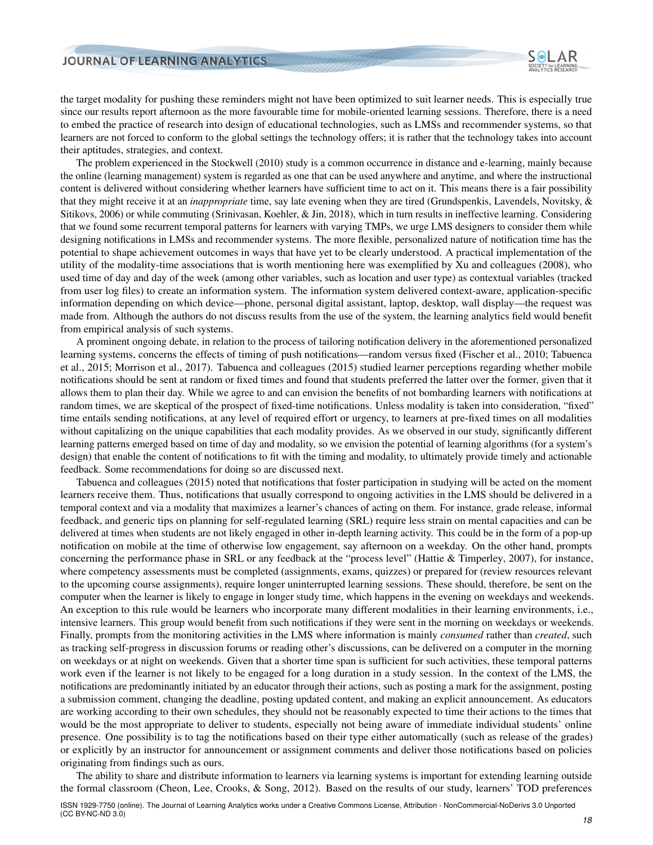

the target modality for pushing these reminders might not have been optimized to suit learner needs. This is especially true since our results report afternoon as the more favourable time for mobile-oriented learning sessions. Therefore, there is a need to embed the practice of research into design of educational technologies, such as LMSs and recommender systems, so that learners are not forced to conform to the global settings the technology offers; it is rather that the technology takes into account their aptitudes, strategies, and context.

The problem experienced in the [Stockwell](#page-22-1) [\(2010\)](#page-22-1) study is a common occurrence in distance and e-learning, mainly because the online (learning management) system is regarded as one that can be used anywhere and anytime, and where the instructional content is delivered without considering whether learners have sufficient time to act on it. This means there is a fair possibility that they might receive it at an *inappropriate* time, say late evening when they are tired [\(Grundspenkis, Lavendels, Novitsky, &](#page-20-14) [Sitikovs,](#page-20-14) [2006\)](#page-20-14) or while commuting [\(Srinivasan, Koehler, & Jin,](#page-22-11) [2018\)](#page-22-11), which in turn results in ineffective learning. Considering that we found some recurrent temporal patterns for learners with varying TMPs, we urge LMS designers to consider them while designing notifications in LMSs and recommender systems. The more flexible, personalized nature of notification time has the potential to shape achievement outcomes in ways that have yet to be clearly understood. A practical implementation of the utility of the modality-time associations that is worth mentioning here was exemplified by Xu and colleagues [\(2008\)](#page-22-7), who used time of day and day of the week (among other variables, such as location and user type) as contextual variables (tracked from user log files) to create an information system. The information system delivered context-aware, application-specific information depending on which device—phone, personal digital assistant, laptop, desktop, wall display—the request was made from. Although the authors do not discuss results from the use of the system, the learning analytics field would benefit from empirical analysis of such systems.

A prominent ongoing debate, in relation to the process of tailoring notification delivery in the aforementioned personalized learning systems, concerns the effects of timing of push notifications—random versus fixed [\(Fischer et al.,](#page-20-15) [2010;](#page-20-15) [Tabuenca](#page-22-9) [et al.,](#page-22-9) [2015;](#page-22-9) [Morrison et al.,](#page-21-18) [2017\)](#page-21-18). Tabuenca and colleagues [\(2015\)](#page-22-9) studied learner perceptions regarding whether mobile notifications should be sent at random or fixed times and found that students preferred the latter over the former, given that it allows them to plan their day. While we agree to and can envision the benefits of not bombarding learners with notifications at random times, we are skeptical of the prospect of fixed-time notifications. Unless modality is taken into consideration, "fixed" time entails sending notifications, at any level of required effort or urgency, to learners at pre-fixed times on all modalities without capitalizing on the unique capabilities that each modality provides. As we observed in our study, significantly different learning patterns emerged based on time of day and modality, so we envision the potential of learning algorithms (for a system's design) that enable the content of notifications to fit with the timing and modality, to ultimately provide timely and actionable feedback. Some recommendations for doing so are discussed next.

Tabuenca and colleagues [\(2015\)](#page-22-9) noted that notifications that foster participation in studying will be acted on the moment learners receive them. Thus, notifications that usually correspond to ongoing activities in the LMS should be delivered in a temporal context and via a modality that maximizes a learner's chances of acting on them. For instance, grade release, informal feedback, and generic tips on planning for self-regulated learning (SRL) require less strain on mental capacities and can be delivered at times when students are not likely engaged in other in-depth learning activity. This could be in the form of a pop-up notification on mobile at the time of otherwise low engagement, say afternoon on a weekday. On the other hand, prompts concerning the performance phase in SRL or any feedback at the "process level" [\(Hattie & Timperley,](#page-20-16) [2007\)](#page-20-16), for instance, where competency assessments must be completed (assignments, exams, quizzes) or prepared for (review resources relevant to the upcoming course assignments), require longer uninterrupted learning sessions. These should, therefore, be sent on the computer when the learner is likely to engage in longer study time, which happens in the evening on weekdays and weekends. An exception to this rule would be learners who incorporate many different modalities in their learning environments, i.e., intensive learners. This group would benefit from such notifications if they were sent in the morning on weekdays or weekends. Finally, prompts from the monitoring activities in the LMS where information is mainly *consumed* rather than *created*, such as tracking self-progress in discussion forums or reading other's discussions, can be delivered on a computer in the morning on weekdays or at night on weekends. Given that a shorter time span is sufficient for such activities, these temporal patterns work even if the learner is not likely to be engaged for a long duration in a study session. In the context of the LMS, the notifications are predominantly initiated by an educator through their actions, such as posting a mark for the assignment, posting a submission comment, changing the deadline, posting updated content, and making an explicit announcement. As educators are working according to their own schedules, they should not be reasonably expected to time their actions to the times that would be the most appropriate to deliver to students, especially not being aware of immediate individual students' online presence. One possibility is to tag the notifications based on their type either automatically (such as release of the grades) or explicitly by an instructor for announcement or assignment comments and deliver those notifications based on policies originating from findings such as ours.

The ability to share and distribute information to learners via learning systems is important for extending learning outside the formal classroom [\(Cheon, Lee, Crooks, & Song,](#page-20-17) [2012\)](#page-20-17). Based on the results of our study, learners' TOD preferences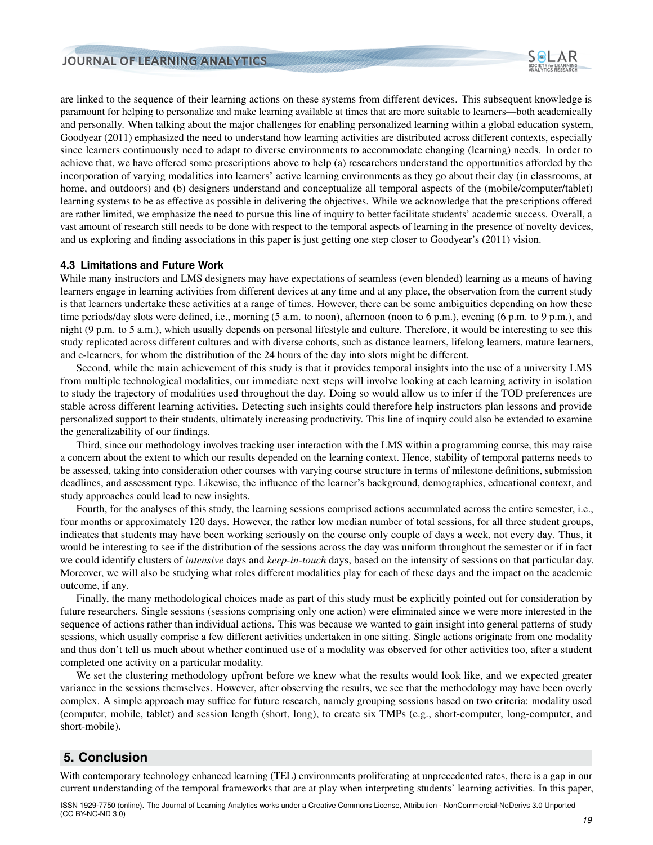

are linked to the sequence of their learning actions on these systems from different devices. This subsequent knowledge is paramount for helping to personalize and make learning available at times that are more suitable to learners—both academically and personally. When talking about the major challenges for enabling personalized learning within a global education system, [Goodyear](#page-20-18) [\(2011\)](#page-20-18) emphasized the need to understand how learning activities are distributed across different contexts, especially since learners continuously need to adapt to diverse environments to accommodate changing (learning) needs. In order to achieve that, we have offered some prescriptions above to help (a) researchers understand the opportunities afforded by the incorporation of varying modalities into learners' active learning environments as they go about their day (in classrooms, at home, and outdoors) and (b) designers understand and conceptualize all temporal aspects of the (mobile/computer/tablet) learning systems to be as effective as possible in delivering the objectives. While we acknowledge that the prescriptions offered are rather limited, we emphasize the need to pursue this line of inquiry to better facilitate students' academic success. Overall, a vast amount of research still needs to be done with respect to the temporal aspects of learning in the presence of novelty devices, and us exploring and finding associations in this paper is just getting one step closer to Goodyear's [\(2011\)](#page-20-18) vision.

#### **4.3 Limitations and Future Work**

While many instructors and LMS designers may have expectations of seamless (even blended) learning as a means of having learners engage in learning activities from different devices at any time and at any place, the observation from the current study is that learners undertake these activities at a range of times. However, there can be some ambiguities depending on how these time periods/day slots were defined, i.e., morning (5 a.m. to noon), afternoon (noon to 6 p.m.), evening (6 p.m. to 9 p.m.), and night (9 p.m. to 5 a.m.), which usually depends on personal lifestyle and culture. Therefore, it would be interesting to see this study replicated across different cultures and with diverse cohorts, such as distance learners, lifelong learners, mature learners, and e-learners, for whom the distribution of the 24 hours of the day into slots might be different.

Second, while the main achievement of this study is that it provides temporal insights into the use of a university LMS from multiple technological modalities, our immediate next steps will involve looking at each learning activity in isolation to study the trajectory of modalities used throughout the day. Doing so would allow us to infer if the TOD preferences are stable across different learning activities. Detecting such insights could therefore help instructors plan lessons and provide personalized support to their students, ultimately increasing productivity. This line of inquiry could also be extended to examine the generalizability of our findings.

Third, since our methodology involves tracking user interaction with the LMS within a programming course, this may raise a concern about the extent to which our results depended on the learning context. Hence, stability of temporal patterns needs to be assessed, taking into consideration other courses with varying course structure in terms of milestone definitions, submission deadlines, and assessment type. Likewise, the influence of the learner's background, demographics, educational context, and study approaches could lead to new insights.

Fourth, for the analyses of this study, the learning sessions comprised actions accumulated across the entire semester, i.e., four months or approximately 120 days. However, the rather low median number of total sessions, for all three student groups, indicates that students may have been working seriously on the course only couple of days a week, not every day. Thus, it would be interesting to see if the distribution of the sessions across the day was uniform throughout the semester or if in fact we could identify clusters of *intensive* days and *keep-in-touch* days, based on the intensity of sessions on that particular day. Moreover, we will also be studying what roles different modalities play for each of these days and the impact on the academic outcome, if any.

Finally, the many methodological choices made as part of this study must be explicitly pointed out for consideration by future researchers. Single sessions (sessions comprising only one action) were eliminated since we were more interested in the sequence of actions rather than individual actions. This was because we wanted to gain insight into general patterns of study sessions, which usually comprise a few different activities undertaken in one sitting. Single actions originate from one modality and thus don't tell us much about whether continued use of a modality was observed for other activities too, after a student completed one activity on a particular modality.

We set the clustering methodology upfront before we knew what the results would look like, and we expected greater variance in the sessions themselves. However, after observing the results, we see that the methodology may have been overly complex. A simple approach may suffice for future research, namely grouping sessions based on two criteria: modality used (computer, mobile, tablet) and session length (short, long), to create six TMPs (e.g., short-computer, long-computer, and short-mobile).

# **5. Conclusion**

With contemporary technology enhanced learning (TEL) environments proliferating at unprecedented rates, there is a gap in our current understanding of the temporal frameworks that are at play when interpreting students' learning activities. In this paper,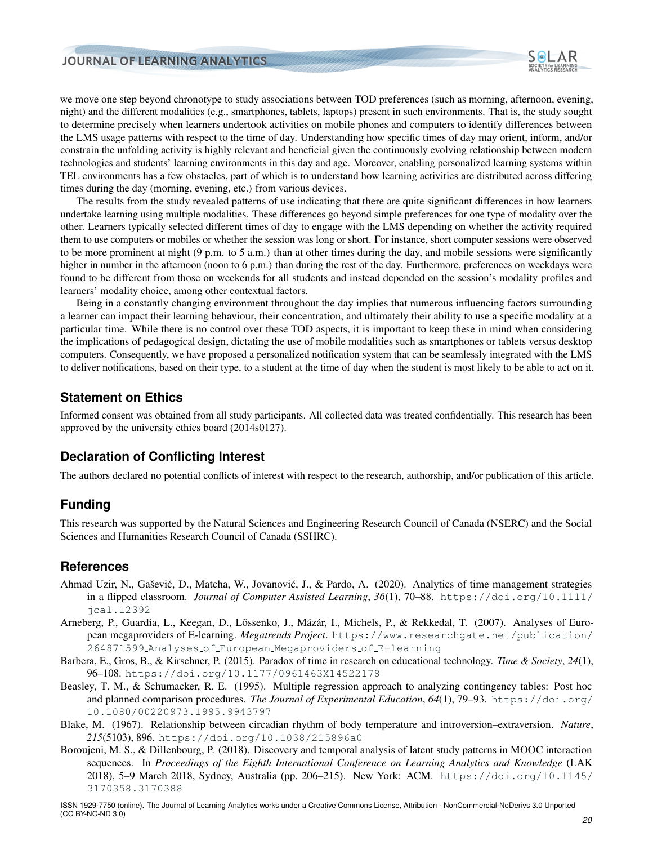

we move one step beyond chronotype to study associations between TOD preferences (such as morning, afternoon, evening, night) and the different modalities (e.g., smartphones, tablets, laptops) present in such environments. That is, the study sought to determine precisely when learners undertook activities on mobile phones and computers to identify differences between the LMS usage patterns with respect to the time of day. Understanding how specific times of day may orient, inform, and/or constrain the unfolding activity is highly relevant and beneficial given the continuously evolving relationship between modern technologies and students' learning environments in this day and age. Moreover, enabling personalized learning systems within TEL environments has a few obstacles, part of which is to understand how learning activities are distributed across differing times during the day (morning, evening, etc.) from various devices.

The results from the study revealed patterns of use indicating that there are quite significant differences in how learners undertake learning using multiple modalities. These differences go beyond simple preferences for one type of modality over the other. Learners typically selected different times of day to engage with the LMS depending on whether the activity required them to use computers or mobiles or whether the session was long or short. For instance, short computer sessions were observed to be more prominent at night (9 p.m. to 5 a.m.) than at other times during the day, and mobile sessions were significantly higher in number in the afternoon (noon to 6 p.m.) than during the rest of the day. Furthermore, preferences on weekdays were found to be different from those on weekends for all students and instead depended on the session's modality profiles and learners' modality choice, among other contextual factors.

Being in a constantly changing environment throughout the day implies that numerous influencing factors surrounding a learner can impact their learning behaviour, their concentration, and ultimately their ability to use a specific modality at a particular time. While there is no control over these TOD aspects, it is important to keep these in mind when considering the implications of pedagogical design, dictating the use of mobile modalities such as smartphones or tablets versus desktop computers. Consequently, we have proposed a personalized notification system that can be seamlessly integrated with the LMS to deliver notifications, based on their type, to a student at the time of day when the student is most likely to be able to act on it.

# **Statement on Ethics**

Informed consent was obtained from all study participants. All collected data was treated confidentially. This research has been approved by the university ethics board (2014s0127).

# **Declaration of Conflicting Interest**

The authors declared no potential conflicts of interest with respect to the research, authorship, and/or publication of this article.

# **Funding**

This research was supported by the Natural Sciences and Engineering Research Council of Canada (NSERC) and the Social Sciences and Humanities Research Council of Canada (SSHRC).

## **References**

- <span id="page-19-1"></span>Ahmad Uzir, N., Gašević, D., Matcha, W., Jovanović, J., & Pardo, A. (2020). Analytics of time management strategies in a flipped classroom. *Journal of Computer Assisted Learning*, *36*(1), 70–88. [https://doi.org/10.1111/](https://doi.org/10.1111/jcal.12392) [jcal.12392](https://doi.org/10.1111/jcal.12392)
- <span id="page-19-3"></span>Arneberg, P., Guardia, L., Keegan, D., Lõssenko, J., Mázár, I., Michels, P., & Rekkedal, T. (2007). Analyses of European megaproviders of E-learning. *Megatrends Project*. [https://www.researchgate.net/publication/](https://www.researchgate.net/publication/264871599_Analyses_of_European_Megaproviders_of_E-learning) 264871599 Analyses of European [Megaproviders](https://www.researchgate.net/publication/264871599_Analyses_of_European_Megaproviders_of_E-learning) of E-learning
- <span id="page-19-0"></span>Barbera, E., Gros, B., & Kirschner, P. (2015). Paradox of time in research on educational technology. *Time & Society*, *24*(1), 96–108. <https://doi.org/10.1177/0961463X14522178>
- <span id="page-19-4"></span>Beasley, T. M., & Schumacker, R. E. (1995). Multiple regression approach to analyzing contingency tables: Post hoc and planned comparison procedures. *The Journal of Experimental Education*, *64*(1), 79–93. [https://doi.org/](https://doi.org/10.1080/00220973.1995.9943797) [10.1080/00220973.1995.9943797](https://doi.org/10.1080/00220973.1995.9943797)
- <span id="page-19-5"></span>Blake, M. (1967). Relationship between circadian rhythm of body temperature and introversion–extraversion. *Nature*, *215*(5103), 896. <https://doi.org/10.1038/215896a0>
- <span id="page-19-2"></span>Boroujeni, M. S., & Dillenbourg, P. (2018). Discovery and temporal analysis of latent study patterns in MOOC interaction sequences. In *Proceedings of the Eighth International Conference on Learning Analytics and Knowledge* (LAK 2018), 5–9 March 2018, Sydney, Australia (pp. 206–215). New York: ACM. [https://doi.org/10.1145/](https://doi.org/10.1145/3170358.3170388) [3170358.3170388](https://doi.org/10.1145/3170358.3170388)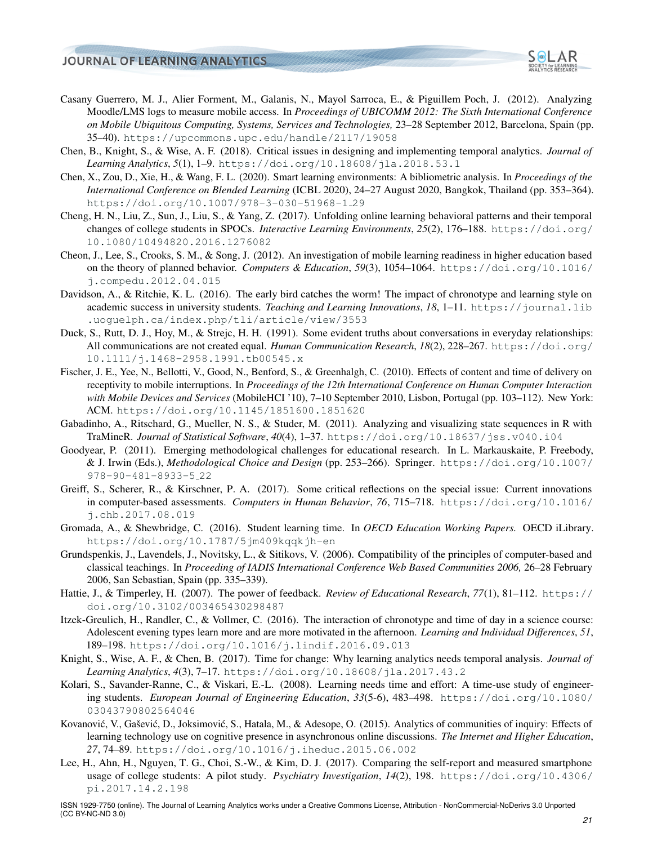

- <span id="page-20-6"></span>Casany Guerrero, M. J., Alier Forment, M., Galanis, N., Mayol Sarroca, E., & Piguillem Poch, J. (2012). Analyzing Moodle/LMS logs to measure mobile access. In *Proceedings of UBICOMM 2012: The Sixth International Conference on Mobile Ubiquitous Computing, Systems, Services and Technologies,* 23–28 September 2012, Barcelona, Spain (pp. 35–40). <https://upcommons.upc.edu/handle/2117/19058>
- <span id="page-20-2"></span>Chen, B., Knight, S., & Wise, A. F. (2018). Critical issues in designing and implementing temporal analytics. *Journal of Learning Analytics*, *5*(1), 1–9. <https://doi.org/10.18608/jla.2018.53.1>
- <span id="page-20-7"></span>Chen, X., Zou, D., Xie, H., & Wang, F. L. (2020). Smart learning environments: A bibliometric analysis. In *Proceedings of the International Conference on Blended Learning* (ICBL 2020), 24–27 August 2020, Bangkok, Thailand (pp. 353–364). [https://doi.org/10.1007/978-3-030-51968-1](https://doi.org/10.1007/978-3-030-51968-1_29) 29
- <span id="page-20-4"></span>Cheng, H. N., Liu, Z., Sun, J., Liu, S., & Yang, Z. (2017). Unfolding online learning behavioral patterns and their temporal changes of college students in SPOCs. *Interactive Learning Environments*, *25*(2), 176–188. [https://doi.org/](https://doi.org/10.1080/10494820.2016.1276082) [10.1080/10494820.2016.1276082](https://doi.org/10.1080/10494820.2016.1276082)
- <span id="page-20-17"></span>Cheon, J., Lee, S., Crooks, S. M., & Song, J. (2012). An investigation of mobile learning readiness in higher education based on the theory of planned behavior. *Computers & Education*, *59*(3), 1054–1064. [https://doi.org/10.1016/](https://doi.org/10.1016/j.compedu.2012.04.015) [j.compedu.2012.04.015](https://doi.org/10.1016/j.compedu.2012.04.015)
- <span id="page-20-11"></span>Davidson, A., & Ritchie, K. L. (2016). The early bird catches the worm! The impact of chronotype and learning style on academic success in university students. *Teaching and Learning Innovations*, *18*, 1–11. [https://journal.lib](https://journal.lib.uoguelph.ca/index.php/tli/article/view/3553) [.uoguelph.ca/index.php/tli/article/view/3553](https://journal.lib.uoguelph.ca/index.php/tli/article/view/3553)
- <span id="page-20-10"></span>Duck, S., Rutt, D. J., Hoy, M., & Strejc, H. H. (1991). Some evident truths about conversations in everyday relationships: All communications are not created equal. *Human Communication Research*, *18*(2), 228–267. [https://doi.org/](https://doi.org/10.1111/j.1468-2958.1991.tb00545.x) [10.1111/j.1468-2958.1991.tb00545.x](https://doi.org/10.1111/j.1468-2958.1991.tb00545.x)
- <span id="page-20-15"></span>Fischer, J. E., Yee, N., Bellotti, V., Good, N., Benford, S., & Greenhalgh, C. (2010). Effects of content and time of delivery on receptivity to mobile interruptions. In *Proceedings of the 12th International Conference on Human Computer Interaction with Mobile Devices and Services* (MobileHCI '10), 7–10 September 2010, Lisbon, Portugal (pp. 103–112). New York: ACM. <https://doi.org/10.1145/1851600.1851620>
- <span id="page-20-9"></span>Gabadinho, A., Ritschard, G., Mueller, N. S., & Studer, M. (2011). Analyzing and visualizing state sequences in R with TraMineR. *Journal of Statistical Software*, *40*(4), 1–37. <https://doi.org/10.18637/jss.v040.i04>
- <span id="page-20-18"></span>Goodyear, P. (2011). Emerging methodological challenges for educational research. In L. Markauskaite, P. Freebody, & J. Irwin (Eds.), *Methodological Choice and Design* (pp. 253–266). Springer. [https://doi.org/10.1007/](https://doi.org/10.1007/978-90-481-8933-5_22) [978-90-481-8933-5](https://doi.org/10.1007/978-90-481-8933-5_22) 22
- <span id="page-20-3"></span>Greiff, S., Scherer, R., & Kirschner, P. A. (2017). Some critical reflections on the special issue: Current innovations in computer-based assessments. *Computers in Human Behavior*, *76*, 715–718. [https://doi.org/10.1016/](https://doi.org/10.1016/j.chb.2017.08.019) [j.chb.2017.08.019](https://doi.org/10.1016/j.chb.2017.08.019)
- <span id="page-20-13"></span>Gromada, A., & Shewbridge, C. (2016). Student learning time. In *OECD Education Working Papers.* OECD iLibrary. <https://doi.org/10.1787/5jm409kqqkjh-en>
- <span id="page-20-14"></span>Grundspenkis, J., Lavendels, J., Novitsky, L., & Sitikovs, V. (2006). Compatibility of the principles of computer-based and classical teachings. In *Proceeding of IADIS International Conference Web Based Communities 2006,* 26–28 February 2006, San Sebastian, Spain (pp. 335–339).
- <span id="page-20-16"></span>Hattie, J., & Timperley, H. (2007). The power of feedback. *Review of Educational Research*, *77*(1), 81–112. [https://](https://doi.org/10.3102/003465430298487) [doi.org/10.3102/003465430298487](https://doi.org/10.3102/003465430298487)
- <span id="page-20-0"></span>Itzek-Greulich, H., Randler, C., & Vollmer, C. (2016). The interaction of chronotype and time of day in a science course: Adolescent evening types learn more and are more motivated in the afternoon. *Learning and Individual Differences*, *51*, 189–198. <https://doi.org/10.1016/j.lindif.2016.09.013>
- <span id="page-20-1"></span>Knight, S., Wise, A. F., & Chen, B. (2017). Time for change: Why learning analytics needs temporal analysis. *Journal of Learning Analytics*, *4*(3), 7–17. <https://doi.org/10.18608/jla.2017.43.2>
- <span id="page-20-5"></span>Kolari, S., Savander-Ranne, C., & Viskari, E.-L. (2008). Learning needs time and effort: A time-use study of engineering students. *European Journal of Engineering Education*, *33*(5-6), 483–498. [https://doi.org/10.1080/](https://doi.org/10.1080/03043790802564046) [03043790802564046](https://doi.org/10.1080/03043790802564046)
- <span id="page-20-8"></span>Kovanović, V., Gašević, D., Joksimović, S., Hatala, M., & Adesope, O. (2015). Analytics of communities of inquiry: Effects of learning technology use on cognitive presence in asynchronous online discussions. *The Internet and Higher Education*, *27*, 74–89. <https://doi.org/10.1016/j.iheduc.2015.06.002>
- <span id="page-20-12"></span>Lee, H., Ahn, H., Nguyen, T. G., Choi, S.-W., & Kim, D. J. (2017). Comparing the self-report and measured smartphone usage of college students: A pilot study. *Psychiatry Investigation*, *14*(2), 198. [https://doi.org/10.4306/](https://doi.org/10.4306/pi.2017.14.2.198) [pi.2017.14.2.198](https://doi.org/10.4306/pi.2017.14.2.198)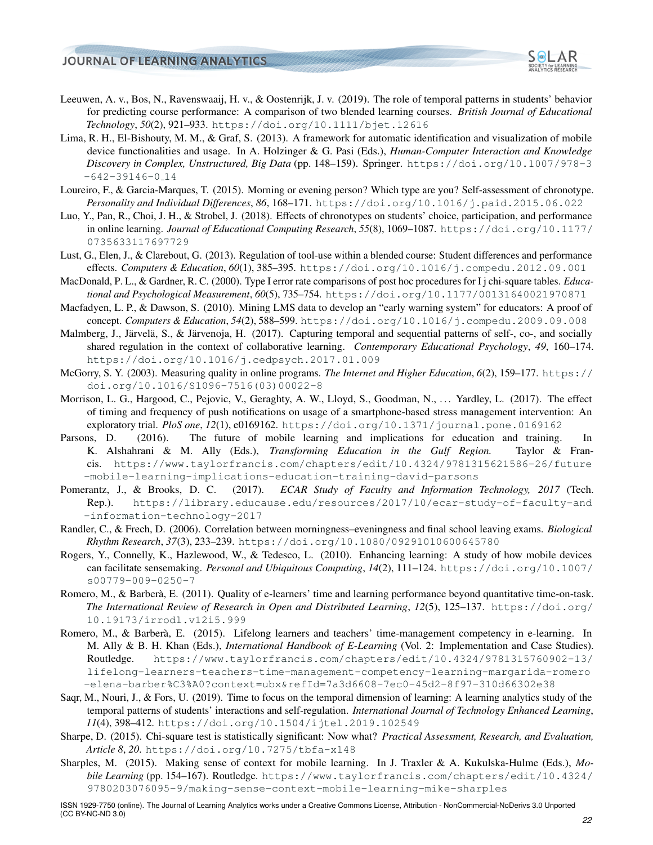

- <span id="page-21-5"></span>Leeuwen, A. v., Bos, N., Ravenswaaij, H. v., & Oostenrijk, J. v. (2019). The role of temporal patterns in students' behavior for predicting course performance: A comparison of two blended learning courses. *British Journal of Educational Technology*, *50*(2), 921–933. <https://doi.org/10.1111/bjet.12616>
- <span id="page-21-9"></span>Lima, R. H., El-Bishouty, M. M., & Graf, S. (2013). A framework for automatic identification and visualization of mobile device functionalities and usage. In A. Holzinger & G. Pasi (Eds.), *Human-Computer Interaction and Knowledge Discovery in Complex, Unstructured, Big Data* (pp. 148–159). Springer. [https://doi.org/10.1007/978-3](https://doi.org/10.1007/978-3-642-39146-0_14)  $-642-39146-0.14$  $-642-39146-0.14$
- <span id="page-21-1"></span>Loureiro, F., & Garcia-Marques, T. (2015). Morning or evening person? Which type are you? Self-assessment of chronotype. *Personality and Individual Differences*, *86*, 168–171. <https://doi.org/10.1016/j.paid.2015.06.022>
- <span id="page-21-16"></span>Luo, Y., Pan, R., Choi, J. H., & Strobel, J. (2018). Effects of chronotypes on students' choice, participation, and performance in online learning. *Journal of Educational Computing Research*, *55*(8), 1069–1087. [https://doi.org/10.1177/](https://doi.org/10.1177/0735633117697729) [0735633117697729](https://doi.org/10.1177/0735633117697729)
- <span id="page-21-13"></span>Lust, G., Elen, J., & Clarebout, G. (2013). Regulation of tool-use within a blended course: Student differences and performance effects. *Computers & Education*, *60*(1), 385–395. <https://doi.org/10.1016/j.compedu.2012.09.001>
- <span id="page-21-14"></span>MacDonald, P. L., & Gardner, R. C. (2000). Type I error rate comparisons of post hoc procedures for I j chi-square tables. *Educational and Psychological Measurement*, *60*(5), 735–754. <https://doi.org/10.1177/00131640021970871>
- <span id="page-21-12"></span>Macfadyen, L. P., & Dawson, S. (2010). Mining LMS data to develop an "early warning system" for educators: A proof of concept. *Computers & Education*, *54*(2), 588–599. <https://doi.org/10.1016/j.compedu.2009.09.008>
- <span id="page-21-6"></span>Malmberg, J., Järvelä, S., & Järvenoja, H. (2017). Capturing temporal and sequential patterns of self-, co-, and socially shared regulation in the context of collaborative learning. *Contemporary Educational Psychology*, *49*, 160–174. <https://doi.org/10.1016/j.cedpsych.2017.01.009>
- <span id="page-21-7"></span>McGorry, S. Y. (2003). Measuring quality in online programs. *The Internet and Higher Education*, *6*(2), 159–177. [https://](https://doi.org/10.1016/S1096-7516(03)00022-8) [doi.org/10.1016/S1096-7516\(03\)00022-8](https://doi.org/10.1016/S1096-7516(03)00022-8)
- <span id="page-21-18"></span>Morrison, L. G., Hargood, C., Pejovic, V., Geraghty, A. W., Lloyd, S., Goodman, N., . . . Yardley, L. (2017). The effect of timing and frequency of push notifications on usage of a smartphone-based stress management intervention: An exploratory trial. *PloS one*, *12*(1), e0169162. <https://doi.org/10.1371/journal.pone.0169162>
- <span id="page-21-10"></span>Parsons, D. (2016). The future of mobile learning and implications for education and training. In K. Alshahrani & M. Ally (Eds.), *Transforming Education in the Gulf Region.* Taylor & Francis. [https://www.taylorfrancis.com/chapters/edit/10.4324/9781315621586-26/future](https://www.taylorfrancis.com/chapters/edit/10.4324/9781315621586-26/future-mobile-learning-implications-education-training-david-parsons) [-mobile-learning-implications-education-training-david-parsons](https://www.taylorfrancis.com/chapters/edit/10.4324/9781315621586-26/future-mobile-learning-implications-education-training-david-parsons)
- <span id="page-21-0"></span>Pomerantz, J., & Brooks, D. C. (2017). *ECAR Study of Faculty and Information Technology, 2017* (Tech. Rep.). [https://library.educause.edu/resources/2017/10/ecar-study-of-faculty-and](https://library.educause.edu/resources/2017/10/ecar-study-of-faculty-and-information-technology-2017) [-information-technology-2017](https://library.educause.edu/resources/2017/10/ecar-study-of-faculty-and-information-technology-2017)
- <span id="page-21-2"></span>Randler, C., & Frech, D. (2006). Correlation between morningness–eveningness and final school leaving exams. *Biological Rhythm Research*, *37*(3), 233–239. <https://doi.org/10.1080/09291010600645780>
- <span id="page-21-11"></span>Rogers, Y., Connelly, K., Hazlewood, W., & Tedesco, L. (2010). Enhancing learning: A study of how mobile devices can facilitate sensemaking. *Personal and Ubiquitous Computing*, *14*(2), 111–124. [https://doi.org/10.1007/](https://doi.org/10.1007/s00779-009-0250-7) [s00779-009-0250-7](https://doi.org/10.1007/s00779-009-0250-7)
- <span id="page-21-3"></span>Romero, M., & Barberà, E. (2011). Quality of e-learners' time and learning performance beyond quantitative time-on-task. *The International Review of Research in Open and Distributed Learning*, *12*(5), 125–137. [https://doi.org/](https://doi.org/10.19173/irrodl.v12i5.999) [10.19173/irrodl.v12i5.999](https://doi.org/10.19173/irrodl.v12i5.999)
- <span id="page-21-17"></span>Romero, M., & Barberà, E. (2015). Lifelong learners and teachers' time-management competency in e-learning. In M. Ally & B. H. Khan (Eds.), *International Handbook of E-Learning* (Vol. 2: Implementation and Case Studies). Routledge. [https://www.taylorfrancis.com/chapters/edit/10.4324/9781315760902-13/](https://www.taylorfrancis.com/chapters/edit/10.4324/9781315760902-13/lifelong-learners-teachers-time-management-competency-learning-margarida-romero-elena-barber%C3%A0?context=ubx&refId=7a3d6608-7ec0-45d2-8f97-310d66302e38) [lifelong-learners-teachers-time-management-competency-learning-margarida-romero](https://www.taylorfrancis.com/chapters/edit/10.4324/9781315760902-13/lifelong-learners-teachers-time-management-competency-learning-margarida-romero-elena-barber%C3%A0?context=ubx&refId=7a3d6608-7ec0-45d2-8f97-310d66302e38) [-elena-barber%C3%A0?context=ubx&refId=7a3d6608-7ec0-45d2-8f97-310d66302e38](https://www.taylorfrancis.com/chapters/edit/10.4324/9781315760902-13/lifelong-learners-teachers-time-management-competency-learning-margarida-romero-elena-barber%C3%A0?context=ubx&refId=7a3d6608-7ec0-45d2-8f97-310d66302e38)
- <span id="page-21-4"></span>Saqr, M., Nouri, J., & Fors, U. (2019). Time to focus on the temporal dimension of learning: A learning analytics study of the temporal patterns of students' interactions and self-regulation. *International Journal of Technology Enhanced Learning*, *11*(4), 398–412. <https://doi.org/10.1504/ijtel.2019.102549>
- <span id="page-21-15"></span>Sharpe, D. (2015). Chi-square test is statistically significant: Now what? *Practical Assessment, Research, and Evaluation, Article 8*, *20*. <https://doi.org/10.7275/tbfa-x148>
- <span id="page-21-8"></span>Sharples, M. (2015). Making sense of context for mobile learning. In J. Traxler & A. Kukulska-Hulme (Eds.), *Mobile Learning* (pp. 154–167). Routledge. [https://www.taylorfrancis.com/chapters/edit/10.4324/](https://www.taylorfrancis.com/chapters/edit/10.4324/9780203076095-9/making-sense-context-mobile-learning-mike-sharples) [9780203076095-9/making-sense-context-mobile-learning-mike-sharples](https://www.taylorfrancis.com/chapters/edit/10.4324/9780203076095-9/making-sense-context-mobile-learning-mike-sharples)

ISSN 1929-7750 (online). The Journal of Learning Analytics works under a Creative Commons License, Attribution - NonCommercial-NoDerivs 3.0 Unported (CC BY-NC-ND 3.0)